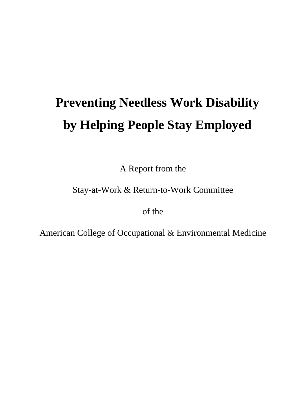# **Preventing Needless Work Disability by Helping People Stay Employed**

A Report from the

Stay-at-Work & Return-to-Work Committee

of the

American College of Occupational & Environmental Medicine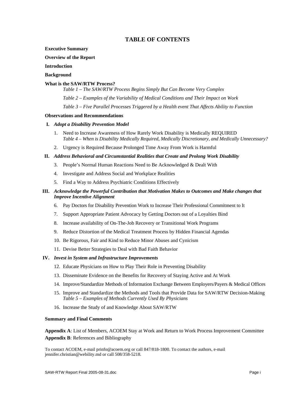# **TABLE OF CONTENTS**

**Executive Summary** 

#### **Overview of the Report**

#### **Introduction**

#### **Background**

#### **What is the SAW/RTW Process?**

*Table 1 – The SAW/RTW Process Begins Simply But Can Become Very Complex* 

*Table 2 – Examples of the Variability of Medical Conditions and Their Impact on Work* 

*Table 3 – Five Parallel Processes Triggered by a Health event That Affects Ability to Function* 

#### **Observations and Recommendations**

#### **I.** *Adopt a Disability Prevention Model*

- 1. Need to Increase Awareness of How Rarely Work Disability is Medically REQUIRED *Table 4 – When is Disability Medically Required, Medically Discretionary, and Medically Unnecessary?*
- 2. Urgency is Required Because Prolonged Time Away From Work is Harmful

#### **II.** *Address Behavioral and Circumstantial Realities that Create and Prolong Work Disability*

- 3. People's Normal Human Reactions Need to Be Acknowledged & Dealt With
- 4. Investigate and Address Social and Workplace Realities
- 5. Find a Way to Address Psychiatric Conditions Effectively

# **III.** *Acknowledge the Powerful Contribution that Motivation Makes to Outcomes and Make changes that Improve Incentive Alignment*

- 6. Pay Doctors for Disability Prevention Work to Increase Their Professional Commitment to It
- 7. Support Appropriate Patient Advocacy by Getting Doctors out of a Loyalties Bind
- 8. Increase availability of On-The-Job Recovery or Transitional Work Programs
- 9. Reduce Distortion of the Medical Treatment Process by Hidden Financial Agendas
- 10. Be Rigorous, Fair and Kind to Reduce Minor Abuses and Cynicism
- 11. Devise Better Strategies to Deal with Bad Faith Behavior

#### **IV.** *Invest in System and Infrastructure Improvements*

- 12. Educate Physicians on How to Play Their Role in Preventing Disability
- 13. Disseminate Evidence on the Benefits for Recovery of Staying Active and At Work
- 14. Improve/Standardize Methods of Information Exchange Between Employers/Payers & Medical Offices
- 15. Improve and Standardize the Methods and Tools that Provide Data for SAW/RTW Decision-Making *Table 5 – Examples of Methods Currently Used By Physicians*
- 16. Increase the Study of and Knowledge About SAW/RTW

#### **Summary and Final Comments**

**Appendix A**: List of Members, ACOEM Stay at Work and Return to Work Process Improvement Committee **Appendix B**: References and Bibliography

To contact ACOEM, e-mail prinfo@acoem.org or call 847/818-1800. To contact the authors, e-mail jennifer.christian@webility.md or call 508/358-5218.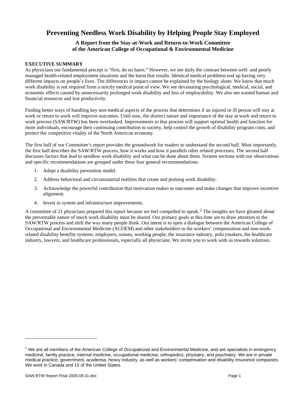# **Preventing Needless Work Disability by Helping People Stay Employed**

# **A Report from the Stay-at-Work and Return-to-Work Committee of the American College of Occupational & Environmental Medicine**

# **EXECUTIVE SUMMARY**

As physicians our fundamental precept is "first, do no harm." However, we see daily the contrast between well- and poorly managed health-related employment situations and the harm that results. Identical medical problems end up having very different impacts on people's lives. The differences in impact cannot be explained by the biology alone. We know that much work disability is not required from a strictly medical point of view. We see devastating psychological, medical, social, and economic effects caused by unnecessarily prolonged work disability and loss of employability. We also see wasted human and financial resources and lost productivity.

Finding better ways of handling key non-medical aspects of the process that determines if an injured or ill person will stay at work or return to work will improve outcomes. Until now, the distinct nature and importance of the stay at work and return to work process (SAW/RTW) has been overlooked. Improvements to that process will support optimal health and function for more individuals, encourage their continuing contribution to society, help control the growth of disability program costs, and protect the competitive vitality of the North American economy.

The first half of our Committee's report provides the groundwork for readers to understand the second half. Most importantly, the first half describes the SAW/RTW process, how it works and how it parallels other related processes. The second half discusses factors that lead to needless work disability and what can be done about them. Sixteen sections with our observations and specific recommendations are grouped under these four general recommendations:

- 1. Adopt a disability prevention model.
- 2. Address behavioral and circumstantial realities that create and prolong work disability.
- 3. Acknowledge the powerful contribution that motivation makes to outcomes and make changes that improve incentive alignment.
- 4. Invest in system and infrastructure improvements.

A committee of 21 physicians prepared this report because we feel compelled to speak. $\pm$  The insights we have gleaned about the preventable nature of much work disability must be shared. Our primary goals at this time are to draw attention to the SAW/RTW process and shift the way many people think. Our intent is to open a dialogue between the American College of Occupational and Environmental Medicine (ACOEM) and other stakeholders in the workers' compensation and non-workrelated disability benefits systems: employers, unions, working people, the insurance industry, policymakers, the healthcare industry, lawyers, and healthcare professionals, especially all physicians. We invite you to work with us towards solutions.

<sup>&</sup>lt;sup>1</sup> We are all members of the American College of Occupational and Environmental Medicine, and are specialists in emergency medicine, family practice, internal medicine, occupational medicine, orthopedics, physiatry, and psychiatry. We are in private medical practice, government, academia, heavy industry, as well as workers' compensation and disability insurance companies. We work in Canada and 15 of the United States.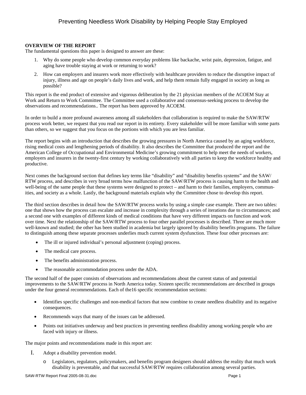# **OVERVIEW OF THE REPORT**

The fundamental questions this paper is designed to answer are these:

- 1. Why do some people who develop common everyday problems like backache, wrist pain, depression, fatigue, and aging have trouble staying at work or returning to work?
- 2. How can employers and insurers work more effectively with healthcare providers to reduce the disruptive impact of injury, illness and age on people's daily lives and work, and help them remain fully engaged in society as long as possible?

This report is the end product of extensive and vigorous deliberation by the 21 physician members of the ACOEM Stay at Work and Return to Work Committee. The Committee used a collaborative and consensus-seeking process to develop the observations and recommendations.. The report has been approved by ACOEM.

In order to build a more profound awareness among all stakeholders that collaboration is required to make the SAW/RTW process work better, we request that you read our report in its entirety. Every stakeholder will be more familiar with some parts than others, so we suggest that you focus on the portions with which you are less familiar.

The report begins with an introduction that describes the growing pressures in North America caused by an aging workforce, rising medical costs and lengthening periods of disability. It also describes the Committee that produced the report and the American College of Occupational and Environmental Medicine's growing commitment to help meet the needs of workers, employers and insurers in the twenty-first century by working collaboratively with all parties to keep the workforce healthy and productive.

Next comes the background section that defines key terms like "disability" and "disability benefits systems" and the SAW/ RTW process, and describes in very broad terms how malfunction of the SAW/RTW process is causing harm to the health and well-being of the same people that these systems were designed to protect – and harm to their families, employers, communities, and society as a whole. Lastly, the background materials explain why the Committee chose to develop this report.

The third section describes in detail how the SAW/RTW process works by using a simple case example. There are two tables: one that shows how the process can escalate and increase in complexity through a series of iterations due to circumstances; and a second one with examples of different kinds of medical conditions that have very different impacts on function and work over time. Next the relationship of the SAW/RTW process to four other parallel processes is described. Three are much more well-known and studied; the other has been studied in academia but largely ignored by disability benefits programs. The failure to distinguish among these separate processes underlies much current system dysfunction. These four other processes are:

- The ill or injured individual's personal adjustment (coping) process.
- The medical care process.
- The benefits administration process.
- The reasonable accommodation process under the ADA.

The second half of the paper consists of observations and recommendations about the current status of and potential improvements to the SAW/RTW process in North America today. Sixteen specific recommendations are described in groups under the four general recommendations. Each of the16 specific recommendation sections:

- Identifies specific challenges and non-medical factors that now combine to create needless disability and its negative consequences.
- Recommends ways that many of the issues can be addressed.
- Points out initiatives underway and best practices in preventing needless disability among working people who are faced with injury or illness.

The major points and recommendations made in this report are:

- I. Adopt a disability prevention model.
	- Legislators, regulators, policymakers, and benefits program designers should address the reality that much work disability is preventable, and that successful SAW/RTW requires collaboration among several parties.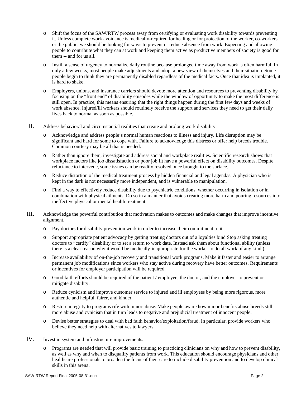- o Shift the focus of the SAW/RTW process away from certifying or evaluating work disability towards preventing it. Unless complete work avoidance is medically-required for healing or for protection of the worker, co-workers or the public, we should be looking for ways to prevent or reduce absence from work. Expecting and allowing people to contribute what they can at work and keeping them active as productive members of society is good for them -- and for us all.
- o Instill a sense of urgency to normalize daily routine because prolonged time away from work is often harmful. In only a few weeks, most people make adjustments and adopt a new view of themselves and their situation. Some people begin to think they are permanently disabled regardless of the medical facts. Once that idea is implanted, it is hard to shake.
- o Employers, unions, and insurance carriers should devote more attention and resources to preventing disability by focusing on the "front end" of disability episodes while the window of opportunity to make the most difference is still open. In practice, this means ensuring that the right things happen during the first few days and weeks of work absence. Injured/ill workers should routinely receive the support and services they need to get their daily lives back to normal as soon as possible.
- II. Address behavioral and circumstantial realities that create and prolong work disability.
	- Acknowledge and address people's normal human reactions to illness and injury. Life disruption may be significant and hard for some to cope with. Failure to acknowledge this distress or offer help breeds trouble. Common courtesy may be all that is needed.
	- o Rather than ignore them, investigate and address social and workplace realities. Scientific research shows that workplace factors like job dissatisfaction or poor job fit have a powerful effect on disability outcomes. Despite reluctance to intervene, some issues can be readily resolved once brought to the surface.
	- o Reduce distortion of the medical treatment process by hidden financial and legal agendas. A physician who is kept in the dark is not necessarily more independent, and is vulnerable to manipulation.
	- o Find a way to effectively reduce disability due to psychiatric conditions, whether occurring in isolation or in combination with physical ailments. Do so in a manner that avoids creating more harm and pouring resources into ineffective physical or mental health treatment.
- III. Acknowledge the powerful contribution that motivation makes to outcomes and make changes that improve incentive alignment.
	- o Pay doctors for disability prevention work in order to increase their commitment to it.
	- o Support appropriate patient advocacy by getting treating doctors out of a loyalties bind Stop asking treating doctors to "certify" disability or to set a return to work date. Instead ask them about functional ability (unless there is a clear reason why it would be medically-inappropriate for the worker to do all work of any kind.)
	- o Increase availability of on-the-job recovery and transitional work programs. Make it faster and easier to arrange permanent job modifications since workers who stay active during recovery have better outcomes. Requirements or incentives for employer participation will be required.
	- o Good faith efforts should be required of the patient / employee, the doctor, and the employer to prevent or mitigate disability.
	- o Reduce cynicism and improve customer service to injured and ill employees by being more rigorous, more authentic and helpful, fairer, and kinder.
	- o Restore integrity to programs rife with minor abuse. Make people aware how minor benefits abuse breeds still more abuse and cynicism that in turn leads to negative and prejudicial treatment of innocent people.
	- o Devise better strategies to deal with bad faith behavior/exploitation/fraud. In particular, provide workers who believe they need help with alternatives to lawyers.
- IV. Invest in system and infrastructure improvements.
	- o Programs are needed that will provide basic training to practicing clinicians on why and how to prevent disability, as well as why and when to disqualify patients from work. This education should encourage physicians and other healthcare professionals to broaden the focus of their care to include disability prevention and to develop clinical skills in this arena.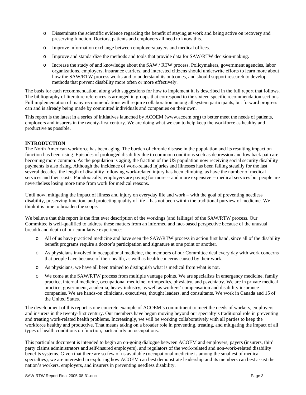- o Disseminate the scientific evidence regarding the benefit of staying at work and being active on recovery and preserving function. Doctors, patients and employers all need to know this.
- o Improve information exchange between employers/payers and medical offices.
- o Improve and standardize the methods and tools that provide data for SAW/RTW decision-making.
- o Increase the study of and knowledge about the SAW / RTW process. Policymakers, government agencies, labor organizations, employers, insurance carriers, and interested citizens should underwrite efforts to learn more about how the SAW/RTW process works and to understand its outcomes, and should support research to develop methods that prevent disability more often or more effectively.

The basis for each recommendation, along with suggestions for how to implement it, is described in the full report that follows. The bibliography of literature references is arranged in groups that correspond to the sixteen specific recommendation sections. Full implementation of many recommendations will require collaboration among all system participants, but forward progress can and is already being made by committed individuals and companies on their own.

This report is the latest in a series of initiatives launched by ACOEM (www.acoem.org) to better meet the needs of patients, employers and insurers in the twenty-first century. We are doing what we can to help keep the workforce as healthy and productive as possible.

#### **INTRODUCTION**

The North American workforce has been aging. The burden of chronic disease in the population and its resulting impact on function has been rising. Episodes of prolonged disability due to common conditions such as depression and low back pain are becoming more common. As the population is aging, the fraction of the US population now receiving social security disability payments is also rising. Although the incidence of work-related injuries and illnesses has been falling steadily for the last several decades, the length of disability following work-related injury has been climbing, as have the number of medical services and their costs. Paradoxically, employers are paying for more -- and more expensive -- medical services but people are nevertheless losing more time from work for medical reasons.

Until now, mitigating the impact of illness and injury on everyday life and work – with the goal of preventing needless disability, preserving function, and protecting quality of life – has not been within the traditional purview of medicine. We think it is time to broaden the scope.

We believe that this report is the first ever description of the workings (and failings) of the SAW/RTW process. Our Committee is well-qualified to address these matters from an informed and fact-based perspective because of the unusual breadth and depth of our cumulative experience:

- o All of us have practiced medicine and have seen the SAW/RTW process in action first hand, since all of the disability benefit programs require a doctor's participation and signature at one point or another.
- o As physicians involved in occupational medicine, the members of our Committee deal every day with work concerns that people have because of their health, as well as health concerns caused by their work.
- o As physicians, we have all been trained to distinguish what is medical from what is not.
- o We come at the SAW/RTW process from multiple vantage points. We are specialists in emergency medicine, family practice, internal medicine, occupational medicine, orthopedics, physiatry, and psychiatry. We are in private medical practice, government, academia, heavy industry, as well as workers' compensation and disability insurance companies. We are hands-on clinicians, executives, thought leaders, and consultants. We work in Canada and 15 of the United States.

The development of this report is one concrete example of ACOEM's commitment to meet the needs of workers, employers and insurers in the twenty-first century. Our members have begun moving beyond our specialty's traditional role in preventing and treating work-related health problems. Increasingly, we will be working collaboratively with all parties to keep the workforce healthy and productive. That means taking on a broader role in preventing, treating, and mitigating the impact of all types of health conditions on function, particularly on occupations.

This particular document is intended to begin an on-going dialogue between ACOEM and employers, payers (insurers, third party claims administrators and self-insured employers), and regulators of the work-related and non-work-related disability benefits systems. Given that there are so few of us available (occupational medicine is among the smallest of medical specialties), we are interested in exploring how ACOEM can best demonstrate leadership and its members can best assist the nation's workers, employers, and insurers in preventing needless disability.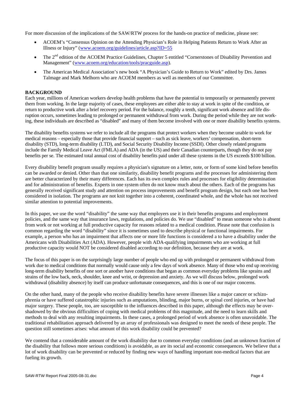For more discussion of the implications of the SAW/RTW process for the hands-on practice of medicine, please see:

- ACOEM's "Consensus Opinion on the Attending Physician's Role in Helping Patients Return to Work After an Illness or Injury" (www.acoem.org/guidelines/article.asp?ID=55
- The 2<sup>nd</sup> edition of the ACOEM Practice Guidelines, Chapter 5 entitled "Cornerstones of Disability Prevention and Management" (www.acoem.org/education/tools/pracguide.asp).
- The American Medical Association's new book "A Physician's Guide to Return to Work" edited by Drs. James Talmage and Mark Melhorn who are ACOEM members as well as members of our Committee.

#### **BACKGROUND**

Each year, millions of American workers develop health problems that have the potential to temporarily or permanently prevent them from working. In the large majority of cases, these employees are either able to stay at work in spite of the condition, or return to productive work after a brief recovery period. For the balance, roughly a tenth, significant work absence and life disruption occurs, sometimes leading to prolonged or permanent withdrawal from work. During the period while they are not working, these individuals are described as "disabled" and many of them become involved with one or more disability benefits systems.

The disability benefits systems we refer to include all the programs that protect workers when they become unable to work for medical reasons – especially those that provide financial support – such as sick leave, workers' compensation, short-term disability (STD), long-term disability (LTD), and Social Security Disability Income (SSDI). Other closely related programs include the Family Medical Leave Act (FMLA) and ADA (in the US) and their Canadian counterparts, though they do not pay benefits per se. The estimated total annual cost of disability benefits paid under all these systems in the US exceeds \$100 billion.

Every disability benefit program usually requires a physician's signature on a letter, note, or form of some kind before benefits can be awarded or denied. Other than that one similarity, disability benefit programs and the processes for administering them are better characterized by their many differences. Each has its own complex rules and processes for eligibility determination and for administration of benefits. Experts in one system often do not know much about the others. Each of the programs has generally received significant study and attention on process improvements and benefit program design, but each one has been considered in isolation. The programs are not knit together into a coherent, coordinated whole, and the whole has not received similar attention to potential improvements.

In this paper, we use the word "disability" the same way that employers use it in their benefits programs and employment policies, and the same way that insurance laws, regulations, and policies do. We use "disabled" to mean someone who is absent from work or not working at full productive capacity for reasons related to a medical condition. Please note that confusion is common regarding the word "disability" since it is sometimes used to describe physical or functional impairments. For example, a person who has an impairment that affects one or more life functions is considered a to have a disability under the Americans with Disabilities Act (ADA). However, people with ADA-qualifying impairments who are working at full productive capacity would NOT be considered disabled according to our definition, because they are at work.

The focus of this paper is on the surprisingly large number of people who end up with prolonged or permanent withdrawal from work due to medical conditions that normally would cause only a few days of work absence. Many of those who end up receiving long-term disability benefits of one sort or another have conditions that began as common everyday problems like sprains and strains of the low back, neck, shoulder, knee and wrist, or depression and anxiety. As we will discuss below, prolonged work withdrawal (disability absence) by itself can produce unfortunate consequences, and this is one of our major concerns.

On the other hand, many of the people who receive disability benefits have severe illnesses like a major cancer or schizophrenia or have suffered catastrophic injuries such as amputations, blinding, major burns, or spinal cord injuries, or have had major surgery. These people, too, are susceptible to the influences described in this paper, although the effects may be overshadowed by the obvious difficulties of coping with medical problems of this magnitude, and the need to learn skills and methods to deal with any resulting impairments. In these cases, a prolonged period of work absence is often unavoidable. The traditional rehabilitation approach delivered by an array of professionals was designed to meet the needs of these people. The question still sometimes arises: what amount of this work disability could be prevented?

We contend that a considerable amount of the work disability due to common everyday conditions (and an unknown fraction of the disability that follows more serious conditions) is avoidable, as are its social and economic consequences. We believe that a lot of work disability can be prevented or reduced by finding new ways of handling important non-medical factors that are fueling its growth.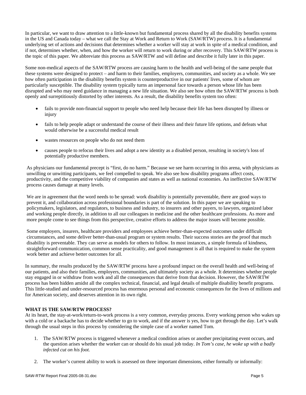In particular, we want to draw attention to a little-known but fundamental process shared by all the disability benefits systems in the US and Canada today – what we call the Stay at Work and Return to Work (SAW/RTW) process. It is a fundamental underlying set of actions and decisions that determines whether a worker will stay at work in spite of a medical condition, and if not, determines whether, when, and how the worker will return to work during or after recovery. This SAW/RTW process is the topic of this paper. We abbreviate this process as SAW/RTW and will define and describe it fully later in this paper.

Some non-medical aspects of the SAW/RTW process are causing harm to the health and well-being of the same people that these systems were designed to protect – and harm to their families, employers, communities, and society as a whole. We see how often participation in the disability benefits system is counterproductive in our patients' lives, some of whom are particularly susceptible. The disability system typically turns an impersonal face towards a person whose life has been disrupted and who may need guidance in managing a new life situation. We also see how often the SAW/RTW process is both openly and surreptitiously distorted by other interests. As a result, the disability benefits system too often:

- fails to provide non-financial support to people who need help because their life has been disrupted by illness or injury
- fails to help people adapt or understand the course of their illness and their future life options, and defeats what would otherwise be a successful medical result
- wastes resources on people who do not need them
- causes people to refocus their lives and adopt a new identity as a disabled person, resulting in society's loss of potentially productive members.

As physicians our fundamental precept is "first, do no harm." Because we see harm occurring in this arena, with physicians as unwilling or unwitting participants, we feel compelled to speak. We also see how disability programs affect costs, productivity, and the competitive viability of companies and states as well as national economies. An ineffective SAW/RTW process causes damage at many levels.

We are in agreement that the word needs to be spread: work disability is potentially preventable, there are good ways to prevent it, and collaboration across professional boundaries is part of the solution. In this paper we are speaking to policymakers, legislators, and regulators, to business and industry, to insurers and other payers, to lawyers, organized labor and working people directly, in addition to all our colleagues in medicine and the other healthcare professions. As more and more people come to see things from this perspective, creative efforts to address the major issues will become possible.

Some employers, insurers, healthcare providers and employees achieve better-than-expected outcomes under difficult circumstances, and some deliver better-than-usual program or system results. Their success stories are the proof that much disability is preventable. They can serve as models for others to follow. In most instances, a simple formula of kindness, straightforward communication, common sense practicality, and good management is all that is required to make the system work better and achieve better outcomes for all.

In summary, the results produced by the SAW/RTW process have a profound impact on the overall health and well-being of our patients, and also their families, employers, communities, and ultimately society as a whole. It determines whether people stay engaged in or withdraw from work and all the consequences that derive from that decision. However, the SAW/RTW process has been hidden amidst all the complex technical, financial, and legal details of multiple disability benefit programs. This little-studied and under-resourced process has enormous personal and economic consequences for the lives of millions and for American society, and deserves attention in its own right.

# **WHAT IS THE SAW/RTW PROCESS?**

At its heart, the stay-at-work/return-to-work process is a very common, everyday process. Every working person who wakes up with a cold or a backache has to decide whether to go to work, and if the answer is yes, how to get through the day. Let's walk through the usual steps in this process by considering the simple case of a worker named Tom.

- 1. The SAW/RTW process is triggered whenever a medical condition arises or another precipitating event occurs, and the question arises whether the worker can or should do his usual job today. *In Tom's case, he woke up with a badly infected cut on his foot.*
- 2. The worker's current ability to work is assessed on three important dimensions, either formally or informally: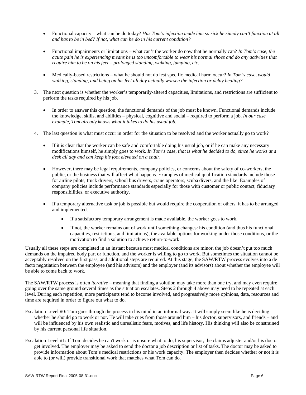- Functional capacity what can he do today? *Has Tom's infection made him so sick he simply can't function at all and has to be in bed? If not, what can he do in his current condition?*
- Functional impairments or limitations what can't the worker do now that he normally can? *In Tom's case, the acute pain he is experiencing means he is too uncomfortable to wear his normal shoes and do any activities that require him to be on his feet – prolonged standing, walking, jumping, etc.*
- Medically-based restrictions what he should not do lest specific medical harm occur? *In Tom's case, would walking, standing, and being on his feet all day actually worsen the infection or delay healing?*
- 3. The next question is whether the worker's temporarily-altered capacities, limitations, and restrictions are sufficient to perform the tasks required by his job.
	- In order to answer this question, the functional demands of the job must be known. Functional demands include the knowledge, skills, and abilities – physical, cognitive and social – required to perform a job. *In our case example, Tom already knows what it takes to do his usual job.*
- 4. The last question is what must occur in order for the situation to be resolved and the worker actually go to work?
	- If it is clear that the worker can be safe and comfortable doing his usual job, or if he can make any necessary modifications himself, he simply goes to work. *In Tom's case, that is what he decided to do, since he works at a desk all day and can keep his foot elevated on a chair.*
	- However, there may be legal requirements, company policies, or concerns about the safety of co-workers, the public, or the business that will affect what happens. Examples of medical qualification standards include those for airline pilots, truck drivers, school bus drivers, crane operators, scuba divers, and the like. Examples of company policies include performance standards especially for those with customer or public contact, fiduciary responsibilities, or executive authority.
	- If a temporary alternative task or job is possible but would require the cooperation of others, it has to be arranged and implemented.
		- If a satisfactory temporary arrangement is made available, the worker goes to work.
		- If not, the worker remains out of work until something changes: his condition (and thus his functional capacities, restrictions, and limitations), the available options for working under those conditions, or the motivation to find a solution to achieve return-to-work.

Usually all these steps are completed in an instant because most medical conditions are minor, the job doesn't put too much demands on the impaired body part or function, and the worker is willing to go to work. But sometimes the situation cannot be acceptably resolved on the first pass, and additional steps are required. At this stage, the SAW/RTW process evolves into a de facto negotiation between the employee (and his advisors) and the employer (and its advisors) about whether the employee will be able to come back to work.

The SAW/RTW process is often *iterative* – meaning that finding a solution may take more than one try, and may even require going over the same ground several times as the situation escalates. Steps 2 through 4 above may need to be repeated at each level. During each repetition, more participants tend to become involved, and progressively more opinions, data, resources and time are required in order to figure out what to do.

- Escalation Level #0: Tom goes through the process in his mind in an informal way. It will simply seem like he is deciding whether he should go to work or not. He will take cues from those around him – his doctor, supervisors, and friends – and will be influenced by his own realistic and unrealistic fears, motives, and life history. His thinking will also be constrained by his current personal life situation.
- Escalation Level #1: If Tom decides he can't work or is unsure what to do, his supervisor, the claims adjuster and/or his doctor get involved. The employer may be asked to send the doctor a job description or list of tasks. The doctor may be asked to provide information about Tom's medical restrictions or his work capacity. The employer then decides whether or not it is able to (or will) provide transitional work that matches what Tom can do.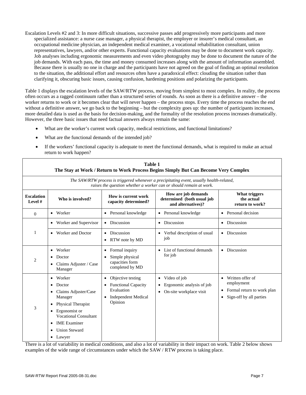Escalation Levels #2 and 3: In more difficult situations, successive passes add progressively more participants and more specialized assistance: a nurse case manager, a physical therapist, the employer or insurer's medical consultant, an occupational medicine physician, an independent medical examiner, a vocational rehabilitation consultant, union representatives, lawyers, and/or other experts. Functional capacity evaluations may be done to document work capacity. Job analyses including ergonomic measurements and even video photography may be done to document the nature of the job demands. With each pass, the time and money consumed increases along with the amount of information assembled. Because there is usually no one in charge and the participants have not agreed on the goal of finding an optimal resolution to the situation, the additional effort and resources often have a paradoxical effect: clouding the situation rather than clarifying it, obscuring basic issues, causing confusion, hardening positions and polarizing the participants.

Table 1 displays the escalation levels of the SAW/RTW process, moving from simplest to most complex. In reality, the process often occurs as a ragged continuum rather than a structured series of rounds. As soon as there is a definitive answer – the worker returns to work or it becomes clear that will never happen – the process stops. Every time the process reaches the end without a definitive answer, we go back to the beginning – but the complexity goes up: the number of participants increases, more detailed data is used as the basis for decision-making, and the formality of the resolution process increases dramatically. However, the three basic issues that need factual answers always remain the same:

- What are the worker's current work capacity, medical restrictions, and functional limitations?
- What are the functional demands of the intended job?
- If the workers' functional capacity is adequate to meet the functional demands, what is required to make an actual return to work happen?

|                              |                                                                                                                                                                                                                                               | <b>Table 1</b>                                                                                         | The Stay at Work / Return to Work Process Begins Simply But Can Become Very Complex         |                                                                                                      |  |
|------------------------------|-----------------------------------------------------------------------------------------------------------------------------------------------------------------------------------------------------------------------------------------------|--------------------------------------------------------------------------------------------------------|---------------------------------------------------------------------------------------------|------------------------------------------------------------------------------------------------------|--|
|                              | The SAW/RTW process is triggered whenever a precipitating event, usually health-related,<br>raises the question whether a worker can or should remain at work.                                                                                |                                                                                                        |                                                                                             |                                                                                                      |  |
| <b>Escalation</b><br>Level # | Who is involved?                                                                                                                                                                                                                              | How is current work<br>capacity determined?                                                            | How are job demands<br>determined (both usual job<br>and alternatives)?                     | What triggers<br>the actual<br>return to work?                                                       |  |
| $\Omega$                     | • Worker                                                                                                                                                                                                                                      | Personal knowledge<br>$\bullet$                                                                        | Personal knowledge<br>$\bullet$                                                             | Personal decision                                                                                    |  |
|                              | Worker and Supervisor                                                                                                                                                                                                                         | <b>Discussion</b>                                                                                      | Discussion<br>$\bullet$                                                                     | Discussion                                                                                           |  |
| 1                            | Worker and Doctor<br>$\bullet$                                                                                                                                                                                                                | Discussion<br>$\bullet$<br>• RTW note by MD                                                            | Verbal description of usual<br>$\bullet$<br>job                                             | Discussion<br>$\bullet$                                                                              |  |
| 2                            | Worker<br>Doctor<br>Claims Adjuster / Case<br>Manager                                                                                                                                                                                         | Formal inquiry<br>٠<br>Simple physical<br>capacities form<br>completed by MD                           | List of functional demands<br>for job                                                       | Discussion                                                                                           |  |
| 3                            | Worker<br>$\bullet$<br>Doctor<br>٠<br>Claims Adjuster/Case<br>٠<br>Manager<br><b>Physical Therapist</b><br>٠<br>Ergonomist or<br>٠<br><b>Vocational Consultant</b><br><b>IME</b> Examiner<br>٠<br><b>Union Steward</b><br>Lawyer<br>$\bullet$ | Objective testing<br><b>Functional Capacity</b><br>Evaluation<br><b>Independent Medical</b><br>Opinion | Video of job<br>٠<br>Ergonomic analysis of job<br>٠<br>On-site workplace visit<br>$\bullet$ | Written offer of<br>employment<br>Formal return to work plan<br>$\bullet$<br>Sign-off by all parties |  |

There is a lot of variability in medical conditions, and also a lot of variability in their impact on work. Table 2 below shows examples of the wide range of circumstances under which the SAW / RTW process is taking place.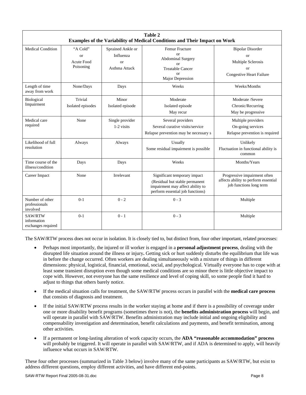| Table 2<br>Examples of the Variability of Medical Conditions and Their Impact on Work |                                                  |                                                             |                                                                                                                                        |                                                                                                     |
|---------------------------------------------------------------------------------------|--------------------------------------------------|-------------------------------------------------------------|----------------------------------------------------------------------------------------------------------------------------------------|-----------------------------------------------------------------------------------------------------|
| <b>Medical Condition</b>                                                              | "A Cold"<br><b>or</b><br>Acute Food<br>Poisoning | Sprained Ankle or<br>Influenza<br>$\alpha$<br>Asthma Attack | <b>Femur Fracture</b><br>$\alpha$ r<br><b>Abdominal Surgery</b><br>$\alpha$<br><b>Treatable Cancer</b><br>$\alpha$<br>Major Depression | <b>Bipolar Disorder</b><br><b>or</b><br>Multiple Sclerosis<br>or<br><b>Congestive Heart Failure</b> |
| Length of time<br>away from work                                                      | None/Days                                        | Days                                                        | Weeks                                                                                                                                  | Weeks/Months                                                                                        |
| Biological<br>Impairment                                                              | Trivial<br>Isolated episodes                     | Minor<br>Isolated episode                                   | Moderate<br>Isolated episode<br>May recur                                                                                              | Moderate /Severe<br>Chronic/Recurring<br>May be progressive                                         |
| Medical care<br>required                                                              | None                                             | Single provider<br>1-2 visits                               | Several providers<br>Several curative visits/service<br>Relapse prevention may be necessary s                                          | Multiple providers<br>On-going services<br>Relapse prevention is required                           |
| Likelihood of full<br>resolution                                                      | Always                                           | Always                                                      | Usually<br>Some residual impairment is possible                                                                                        | Unlikely<br>Fluctuation in functional ability is<br>common                                          |
| Time course of the<br>illness/condition                                               | Days                                             | Days                                                        | Weeks                                                                                                                                  | Months/Years                                                                                        |
| Career Impact                                                                         | None                                             | Irrelevant                                                  | Significant temporary impact<br>(Residual but stable permanent<br>impairment may affect ability to<br>perform essential job functions) | Progressive impairment often<br>affects ability to perform essential<br>job functions long term     |
| Number of other<br>professionals<br>involved                                          | $0-1$                                            | $0 - 2$                                                     | $0 - 3$                                                                                                                                | Multiple                                                                                            |
| SAW/RTW<br>information<br>exchanges required                                          | $0-1$                                            | $0 - 1$                                                     | $0 - 3$                                                                                                                                | Multiple                                                                                            |

The SAW/RTW process does not occur in isolation. It is closely tied to, but distinct from, four other important, related processes:

- Perhaps most importantly, the injured or ill worker is engaged in a **personal adjustment process**, dealing with the disrupted life situation around the illness or injury**.** Getting sick or hurt suddenly disturbs the equilibrium that life was in before the change occurred. Often workers are dealing simultaneously with a mixture of things in different dimensions: physical, logistical, financial, emotional, social, and psychological. Virtually everyone has to cope with at least some transient disruption even though some medical conditions are so minor there is little objective impact to cope with. However, not everyone has the same resilience and level of coping skill, so some people find it hard to adjust to things that others barely notice.
- If the medical situation calls for treatment, the SAW/RTW process occurs in parallel with the **medical care process** that consists of diagnosis and treatment.
- If the initial SAW/RTW process results in the worker staying at home and if there is a possibility of coverage under one or more disability benefit programs (sometimes there is not), the **benefits administration process** will begin, and will operate in parallel with SAW/RTW. Benefits administration may include initial and ongoing eligibility and compensability investigation and determination, benefit calculations and payments, and benefit termination, among other activities.
- If a permanent or long-lasting alteration of work capacity occurs, the **ADA "reasonable accommodation" process**  will probably be triggered. It will operate in parallel with SAW/RTW, and if ADA is determined to apply, will heavily influence what occurs in SAW/RTW.

These four other processes (summarized in Table 3 below) involve many of the same participants as SAW/RTW, but exist to address different questions, employ different activities, and have different end-points.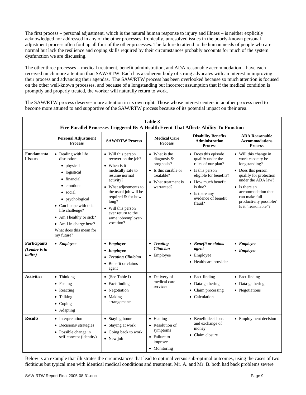The first process – personal adjustment, which is the natural human response to injury and illness – is neither explicitly acknowledged nor addressed in any of the other processes. Ironically, unresolved issues in the poorly-known personal adjustment process often foul up all four of the other processes. The failure to attend to the human needs of people who are normal but lack the resilience and coping skills required by their circumstances probably accounts for much of the system dysfunction we are discussing.

The other three processes – medical treatment, benefit administration, and ADA reasonable accommodation – have each received much more attention than SAW/RTW. Each has a coherent body of strong advocates with an interest in improving their process and advancing their agendas. The SAW/RTW process has been overlooked because so much attention is focused on the other well-known processes, and because of a longstanding but incorrect assumption that if the medical condition is promptly and properly treated, the worker will naturally return to work.

The SAW/RTW process deserves more attention in its own right. Those whose interest centers in another process need to become more attuned to and supportive of the SAW/RTW process because of its potential impact on their area.

| Table 3<br>Five Parallel Processes Triggered By A Health Event That Affects Ability To Function |                                                                                                                                                                                                                                                                                   |                                                                                                                                                                                                                                                                            |                                                                                                                          |                                                                                                                                                                                                                  |                                                                                                                                                                                                                                           |
|-------------------------------------------------------------------------------------------------|-----------------------------------------------------------------------------------------------------------------------------------------------------------------------------------------------------------------------------------------------------------------------------------|----------------------------------------------------------------------------------------------------------------------------------------------------------------------------------------------------------------------------------------------------------------------------|--------------------------------------------------------------------------------------------------------------------------|------------------------------------------------------------------------------------------------------------------------------------------------------------------------------------------------------------------|-------------------------------------------------------------------------------------------------------------------------------------------------------------------------------------------------------------------------------------------|
|                                                                                                 | <b>Personal Adjustment</b><br><b>Process</b>                                                                                                                                                                                                                                      | <b>SAW/RTW Process</b>                                                                                                                                                                                                                                                     | <b>Medical Care</b><br><b>Process</b>                                                                                    | <b>Disability Benefits</b><br><b>Administration</b><br><b>Process</b>                                                                                                                                            | <b>ADA Reasonable</b><br><b>Accommodations</b><br><b>Process</b>                                                                                                                                                                          |
| <b>Fundamenta</b><br>l Issues                                                                   | • Dealing with life<br>disruption:<br>• physical<br>• logistical<br>• financial<br>emotional<br>social<br>$\bullet$<br>• psychological<br>• Can I cope with this<br>life challenge?<br>• Am I healthy or sick?<br>• Am I in charge here?<br>What does this mean for<br>my future? | • Will this person<br>recover on the job?<br>• When is it<br>medically safe to<br>resume normal<br>activity?<br>• What adjustments to<br>the usual job will be<br>required & for how<br>long?<br>Will this person<br>ever return to the<br>same job/employer/<br>vocation? | • What is the<br>diagnosis $\&$<br>prognosis?<br>• Is this curable or<br>treatable?<br>• What treatment is<br>warranted? | • Does this episode<br>qualify under the<br>rules of our plan?<br>$\bullet$ Is this person<br>eligible for benefits?<br>• How much benefit<br>is due?<br>$\bullet$ Is there any<br>evidence of benefit<br>fraud? | • Will this change in<br>work capacity be<br>longstanding?<br>• Does this person<br>qualify for protection<br>under the ADA law?<br>• Is there an<br>accommodation that<br>can make full<br>productivity possible?<br>Is it "reasonable"? |
| <b>Participants</b><br>(Leader is in<br><i>italics</i> )                                        | $\bullet$ Employee                                                                                                                                                                                                                                                                | • Employer<br>• Employee<br>• Treating Clinician<br>• Benefit or claims<br>agent                                                                                                                                                                                           | • Treating<br><b>Clinician</b><br>$\bullet$ Employee                                                                     | • Benefit or claims<br>agent<br>$\bullet$ Employee<br>• Healthcare provider                                                                                                                                      | • Employee<br>$\bullet$ Employer                                                                                                                                                                                                          |
| <b>Activities</b>                                                                               | • Thinking<br>• Feeling<br>• Reacting<br>Talking<br>$\bullet$<br>$\bullet$ Coping<br>• Adapting                                                                                                                                                                                   | (See Table I)<br>Fact-finding<br>Negotiation<br>Making<br>arrangements                                                                                                                                                                                                     | • Delivery of<br>medical care<br>services                                                                                | • Fact-finding<br>• Data-gathering<br>• Claim processing<br>• Calculation                                                                                                                                        | • Fact-finding<br>Data-gathering<br>• Negotiations                                                                                                                                                                                        |
| <b>Results</b>                                                                                  | • Interpretation<br>• Decisions/ strategies<br>• Possible change in<br>self-concept (identity)                                                                                                                                                                                    | • Staying home<br>• Staying at work<br>• Going back to work<br>• New job                                                                                                                                                                                                   | • Healing<br>• Resolution of<br>symptoms<br>• Failure to<br>improve<br>• Monitoring                                      | • Benefit decisions<br>and exchange of<br>money<br>• Claim closure                                                                                                                                               | • Employment decision                                                                                                                                                                                                                     |

Below is an example that illustrates the circumstances that lead to optimal versus sub-optimal outcomes, using the cases of two fictitious but typical men with identical medical conditions and treatment. Mr. A. and Mr. B. both had back problems severe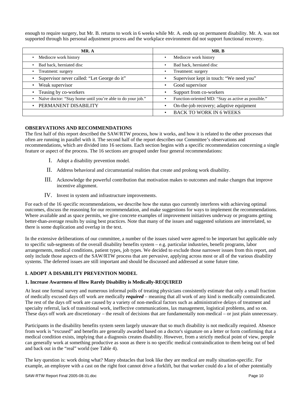enough to require surgery, but Mr. B. returns to work in 6 weeks while Mr. A. ends up on permanent disability. Mr. A. was not supported through his personal adjustment process and the workplace environment did not support functional recovery.

| MR. A                                                       | MR. B                                               |  |  |
|-------------------------------------------------------------|-----------------------------------------------------|--|--|
| Mediocre work history                                       | Mediocre work history                               |  |  |
| Bad back, herniated disc                                    | Bad back, herniated disc                            |  |  |
| Treatment: surgery                                          | Treatment: surgery                                  |  |  |
| Supervisor never called: "Let George do it"                 | Supervisor kept in touch: "We need you"             |  |  |
| Weak supervisor                                             | Good supervisor                                     |  |  |
| Teasing by co-workers                                       | Support from co-workers                             |  |  |
| Naïve doctor: "Stay home until you're able to do your job." | Function-oriented MD: "Stay as active as possible." |  |  |
| PERMANENT DISABILITY                                        | On-the-job recovery; adaptive equipment             |  |  |
|                                                             | <b>BACK TO WORK IN 6 WEEKS</b>                      |  |  |

#### **OBSERVATIONS AND RECOMMENDATIONS**

The first half of this report described the SAW/RTW process, how it works, and how it is related to the other processes that often are running in parallel with it. The second half of the report describes our Committee's observations and recommendations, which are divided into 16 sections. Each section begins with a specific recommendation concerning a single feature or aspect of the process. The 16 sections are grouped under four general recommendations:

- I. Adopt a disability prevention model.
- II. Address behavioral and circumstantial realities that create and prolong work disability.
- III. Acknowledge the powerful contribution that motivation makes to outcomes and make changes that improve incentive alignment.
- IV. Invest in system and infrastructure improvements.

For each of the 16 specific recommendations, we describe how the status quo currently interferes with achieving optimal outcomes, discuss the reasoning for our recommendation, and make suggestions for ways to implement the recommendations. Where available and as space permits, we give concrete examples of improvement initiatives underway or programs getting better-than-average results by using best practices. Note that many of the issues and suggested solutions are interrelated, so there is some duplication and overlap in the text.

In the extensive deliberations of our committee, a number of the issues raised were agreed to be important but applicable only to specific sub-segments of the overall disability benefits system – e.g. particular industries, benefit programs, labor arrangements, medical conditions, patient types, job types. We decided to exclude those narrower issues from this report, and only include those aspects of the SAW/RTW process that are pervasive, applying across most or all of the various disability systems. The deferred issues are still important and should be discussed and addressed at some future time.

# **I. ADOPT A DISABILITY PREVENTION MODEL**

#### **1. Increase Awareness of How Rarely Disability is Medically-REQUIRED**

At least one formal survey and numerous informal polls of treating physicians consistently estimate that only a small fraction of medically excused days off work are medically *required* – meaning that all work of any kind is medically contraindicated. The rest of the days off work are caused by a variety of non-medical factors such as administrative delays of treatment and specialty referral, lack of transitional work, ineffective communications, lax management, logistical problems, and so on. These days off work are discretionary – the result of decisions that are fundamentally non-medical – or just plain unnecessary.

Participants in the disability benefits system seem largely unaware that so much disability is not medically required. Absence from work is "excused" and benefits are generally awarded based on a doctor's signature on a letter or form confirming that a medical condition exists, implying that a diagnosis creates disability. However, from a strictly medical point of view, people can generally work at something productive as soon as there is no specific medical contraindication to them being out of bed and back out in the "real" world (see Table 4).

The key question is: work doing what? Many obstacles that look like they are medical are really situation-specific. For example, an employee with a cast on the right foot cannot drive a forklift, but that worker could do a lot of other potentially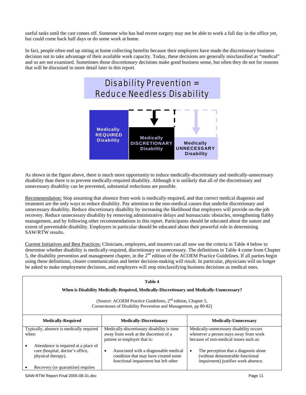useful tasks until the cast comes off. Someone who has had recent surgery may not be able to work a full day in the office yet, but could come back half days or do some work at home.

In fact, people often end up sitting at home collecting benefits because their employers have made the discretionary business decision not to take advantage of their available work capacity. Today, these decisions are generally misclassified as "medical" and so are not examined. Sometimes those discretionary decisions make good business sense, but often they do not for reasons that will be discussed in more detail later in this report.



As shown in the figure above, there is much more opportunity to reduce medically-discretionary and medically-unnecessary disability than there is to prevent medically-required disability. Although it is unlikely that all of the discretionary and unnecessary disability can be prevented, substantial reductions are possible.

Recommendation: Stop assuming that absence from work is medically-required, and that correct medical diagnosis and treatment are the only ways to reduce disability. Pay attention to the non-medical causes that underlie discretionary and unnecessary disability. Reduce discretionary disability by increasing the likelihood that employers will provide on-the-job recovery. Reduce unnecessary disability by removing administrative delays and bureaucratic obstacles, strengthening flabby management, and by following other recommendations in this report. Participants should be educated about the nature and extent of preventable disability. Employers in particular should be educated about their powerful role in determining SAW/RTW results.

Current Initiatives and Best Practices: Clinicians, employers, and insurers can all now use the criteria in Table 4 below to determine whether disability is medically-required, discretionary or unnecessary. The definitions in Table 4 come from Chapter 5, the disability prevention and management chapter, in the  $2<sup>nd</sup>$  edition of the ACOEM Practice Guidelines. If all parties begin using these definitions, clearer communication and better decision-making will result. In particular, physicians will no longer be asked to make employment decisions, and employers will stop misclassifying business decisions as medical ones.

| Table 4                                                                                                                                    |                                                                                                                                    |                                                                                                                               |  |  |
|--------------------------------------------------------------------------------------------------------------------------------------------|------------------------------------------------------------------------------------------------------------------------------------|-------------------------------------------------------------------------------------------------------------------------------|--|--|
| When is Disability Medically-Required, Medically-Discretionary and Medically-Unnecessary?                                                  |                                                                                                                                    |                                                                                                                               |  |  |
| (Source: ACOEM Practice Guidelines, 2 <sup>nd</sup> edition, Chapter 5,<br>Cornerstones of Disability Prevention and Management, pp 80-82) |                                                                                                                                    |                                                                                                                               |  |  |
| <b>Medically-Required</b>                                                                                                                  | <b>Medically-Discretionary</b>                                                                                                     | <b>Medically-Unnecessary</b>                                                                                                  |  |  |
| Typically, absence is medically required<br>when:                                                                                          | Medically-discretionary disability is time<br>away from work at the discretion of a<br>patient or employer that is:                | Medically-unnecessary disability occurs<br>whenever a person stays away from work<br>because of non-medical issues such as:   |  |  |
| Attendance is required at a place of<br>care (hospital, doctor's office,<br>physical therapy).                                             | Associated with a diagnosable medical<br>$\bullet$<br>condition that may have created some<br>functional impairment but left other | The perception that a diagnosis alone<br>$\bullet$<br>(without demonstrable functional<br>impairment) justifies work absence. |  |  |
| Recovery (or quarantine) requires                                                                                                          |                                                                                                                                    |                                                                                                                               |  |  |

SAW-RTW Report Final 2005-08-31.doc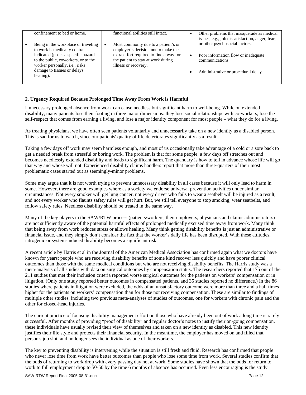|           | confinement to bed or home.                                                                                                                                                                                                    | functional abilities still intact.                                                                                                                                                  |   | Other problems that masquerade as medical<br>issues, e.g., job dissatisfaction, anger, fear,                                    |
|-----------|--------------------------------------------------------------------------------------------------------------------------------------------------------------------------------------------------------------------------------|-------------------------------------------------------------------------------------------------------------------------------------------------------------------------------------|---|---------------------------------------------------------------------------------------------------------------------------------|
| $\bullet$ | Being in the workplace or traveling<br>to work is medically contra-<br>indicated (poses a specific hazard<br>to the public, coworkers, or to the<br>worker personally, i.e., risks<br>damage to tissues or delays<br>healing). | Most commonly due to a patient's or<br>employer's decision not to make the<br>extra effort required to find a way for<br>the patient to stay at work during<br>illness or recovery. | ٠ | or other psychosocial factors.<br>Poor information flow or inadequate<br>communications.<br>Administrative or procedural delay. |

# **2. Urgency Required Because Prolonged Time Away From Work is Harmful**

Unnecessary prolonged absence from work can cause needless but significant harm to well-being. While on extended disability, many patients lose their footing in three major dimensions: they lose social relationships with co-workers, lose the self-respect that comes from earning a living, and lose a major identity component for most people – what they do for a living.

As treating physicians, we have often seen patients voluntarily and unnecessarily take on a new identity as a disabled person. This is sad for us to watch, since our patients' quality of life deteriorates significantly as a result.

Taking a few days off work may seem harmless enough, and most of us occasionally take advantage of a cold or a sore back to get a needed break from stressful or boring work. The problem is that for some people, a few days off stretches out and becomes needlessly extended disability and leads to significant harm. The quandary is how to tell in advance whose life will go that way and whose will not. Experienced disability claims handlers report that more than three-quarters of their most problematic cases started out as seemingly-minor problems.

Some may argue that it is not worth trying to prevent unnecessary disability in all cases because it will only lead to harm in some. However, there are good examples where as a society we endorse universal prevention activities under similar circumstances. Not every smoker will get lung cancer, not every driver who fails to wear a seatbelt will be injured as a result, and not every worker who flaunts safety rules will get hurt. But, we still tell everyone to stop smoking, wear seatbelts, and follow safety rules. Needless disability should be treated in the same way.

Many of the key players in the SAW/RTW process (patients/workers, their employers, physicians and claims administrators) are not sufficiently aware of the potential harmful effects of prolonged medically excused time away from work. Many think that being away from work reduces stress or allows healing. Many think getting disability benefits is just an administrative or financial issue, and they simply don't consider the fact that the worker's daily life has been disrupted. With these attitudes, iatrogenic or system-induced disability becomes a significant risk.

A recent article by Harris et al in the Journal of the American Medical Association has confirmed again what we doctors have known for years: people who are receiving disability benefits of some kind recover less quickly and have poorer clinical outcomes than those with the same medical conditions but who are not receiving disability benefits. The Harris study was a meta-analysis of all studies with data on surgical outcomes by compensation status. The researchers reported that 175 out of the 211 studies that met their inclusion criteria reported worse surgical outcomes for the patients on workers' compensation or in litigation. (Only one study reported better outcomes in compensated patients, and 35 studies reported no difference.) In the 86 studies where patients in litigation were excluded, the odds of an unsatisfactory outcome were more than three and a half times higher for the patients on workers' compensation than for those not receiving compensation. These are similar to findings of multiple other studies, including two previous meta-analyses of studies of outcomes, one for workers with chronic pain and the other for closed-head injuries.

The current practice of focusing disability management effort on those who have already been out of work a long time is rarely successful. After months of providing "proof of disability" and regular doctor's notes to justify their on-going compensation, these individuals have usually revised their view of themselves and taken on a new identity as disabled. This new identity justifies their life style and protects their financial security. In the meantime, the employer has moved on and filled that person's job slot, and no longer sees the individual as one of their workers.

The key to preventing disability is intervening while the situation is still fresh and fluid. Research has confirmed that people who never lose time from work have better outcomes than people who lose some time from work. Several studies confirm that the odds of returning to work drop with every passing day not at work. Some studies have shown that the odds for return to work to full employment drop to 50-50 by the time 6 months of absence has occurred. Even less encouraging is the study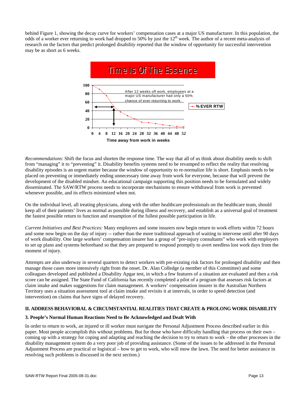behind Figure 1, showing the decay curve for workers' compensation cases at a major US manufacturer. In this population, the odds of a worker ever returning to work had dropped to 50% by just the 12<sup>th</sup> week. The author of a recent meta-analysis of research on the factors that predict prolonged disability reported that the window of opportunity for successful intervention may be as short as 6 weeks.



*Recommendations*: Shift the focus and shorten the response time. The way that all of us think about disability needs to shift from "managing" it to "preventing" it. Disability benefits systems need to be revamped to reflect the reality that resolving disability episodes is an urgent matter because the window of opportunity to re-normalize life is short. Emphasis needs to be placed on preventing or immediately ending unnecessary time away from work for everyone, because that will prevent the development of the disabled mindset. An educational campaign supporting this position needs to be formulated and widely disseminated. The SAW/RTW process needs to incorporate mechanisms to ensure withdrawal from work is prevented whenever possible, and its effects minimized when not.

On the individual level, all treating physicians, along with the other healthcare professionals on the healthcare team, should keep all of their patients' lives as normal as possible during illness and recovery, and establish as a universal goal of treatment the fastest possible return to function and resumption of the fullest possible participation in life.

*Current Initiatives and Best Practices:* Many employers and some insurers now begin return to work efforts within 72 hours and some now begin on the day of injury -- rather than the more traditional approach of waiting to intervene until after 90 days of work disability. One large workers' compensation insurer has a group of "pre-injury consultants" who work with employers to set up plans and systems beforehand so that they are prepared to respond promptly to avert needless lost work days from the moment of injury.

Attempts are also underway in several quarters to detect workers with pre-existing risk factors for prolonged disability and then manage those cases more intensively right from the onset. Dr. Alan Colledge (a member of this Committee) and some colleagues developed and published a Disability Apgar test, in which a few features of a situation are evaluated and then a risk score can be assigned. The State Fund of California has recently completed a pilot of a program that assesses risk factors at claim intake and makes suggestions for claim management. A workers' compensation insurer in the Australian Northern Territory uses a situation assessment tool at claim intake and revisits it at intervals, in order to speed detection (and intervention) on claims that have signs of delayed recovery.

# **II. ADDRESS BEHAVIORAL & CIRCUMSTANTIAL REALITIES THAT CREATE & PROLONG WORK DISABILITY**

# **3. People's Normal Human Reactions Need to Be Acknowledged and Dealt With**

In order to return to work, an injured or ill worker must navigate the Personal Adjustment Process described earlier in this paper. Most people accomplish this without problems. But for those who have difficulty handling that process on their own – coming up with a strategy for coping and adapting and reaching the decision to try to return to work – the other processes in the disability management system do a very poor job of providing assistance. (Some of the issues to be addressed in the Personal Adjustment Process are practical or logistical – how to get to work, who will mow the lawn. The need for better assistance in resolving such problems is discussed in the next section.)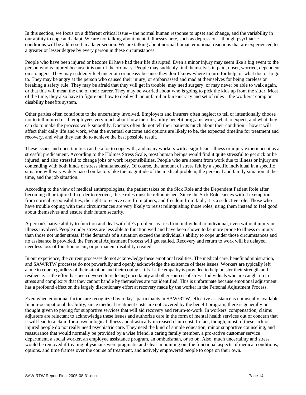In this section, we focus on a different critical issue – the normal human response to upset and change, and the variability in our ability to cope and adapt. We are not talking about mental illnesses here, such as depression – though psychiatric conditions will be addressed in a later section. We are talking about normal human emotional reactions that are experienced to a greater or lesser degree by every person in these circumstances.

People who have been injured or become ill have had their life disrupted. Even a minor injury may seem like a big event to the person who is injured because it is out of the ordinary. People may suddenly find themselves in pain, upset, worried, dependent on strangers. They may suddenly feel uncertain or uneasy because they don't know where to turn for help, or what doctor to go to. They may be angry at the person who caused their injury, or embarrassed and mad at themselves for being careless or breaking a safety rule. They may be afraid that they will get in trouble, may need surgery, or may never be able to walk again, or that this will mean the end of their career. They may be worried about who is going to pick the kids up from the sitter. Most of the time, they also have to figure out how to deal with an unfamiliar bureaucracy and set of rules – the workers' comp or disability benefits system.

Other parties often contribute to the uncertainty involved. Employers and insurers often neglect to tell or intentionally choose not to tell injured or ill employees very much about how their disability benefit programs work, what to expect, and what they can do to make the process work smoothly. Doctors often do not tell their patients much about their condition – how it will affect their daily life and work, what the eventual outcome and options are likely to be, the expected timeline for treatment and recovery, and what they can do to achieve the best possible result.

These issues and uncertainties can be a lot to cope with, and many workers with a significant illness or injury experience it as a stressful predicament. According to the Holmes Stress Scale, most human beings would find it quite stressful to get sick or be injured, and also stressful to change jobs or work responsibilities. People who are absent from work due to illness or injury are contending with both kinds of stress simultaneously. Of course, the amount of stress felt by a specific individual in a specific situation will vary widely based on factors like the magnitude of the medical problem, the personal and family situation at the time, and the job situation.

According to the view of medical anthropologists, the patient takes on the Sick Role and the Dependent Patient Role after becoming ill or injured. In order to recover, these roles must be relinquished. Since the Sick Role carries with it exemption from normal responsibilities, the right to receive care from others, and freedom from fault, it is a seductive role. Those who have trouble coping with their circumstances are very likely to resist relinquishing those roles, using them instead to feel good about themselves and ensure their future security.

A person's native ability to function and deal with life's problems varies from individual to individual, even without injury or illness involved. People under stress are less able to function well and have been shown to be more prone to illness or injury than those not under stress. If the demands of a situation exceed the individual's ability to cope under those circumstances and no assistance is provided, the Personal Adjustment Process will get stalled. Recovery and return to work will be delayed, needless loss of function occur, or permanent disability created.

In our experience, the current processes do not acknowledge these emotional realities. The medical care, benefit administration, and SAW/RTW processes do not powerfully and openly acknowledge the existence of these issues. Workers are typically left alone to cope regardless of their situation and their coping skills. Little empathy is provided to help bolster their strength and resilience. Little effort has been devoted to reducing uncertainty and other sources of stress. Individuals who are caught up in stress and complexity that they cannot handle by themselves are not identified. This is unfortunate because emotional adjustment has a profound effect on the largely discretionary effort at recovery made by the worker in the Personal Adjustment Process.

Even when emotional factors are recognized by today's participants in SAW/RTW, effective assistance is not usually available. In non-occupational disability, since medical treatment costs are not covered by the benefit program, there is generally no thought given to paying for supportive services that will aid recovery and return-to-work. In workers' compensation, claims adjusters are reluctant to acknowledge these issues and authorize care in the form of mental health services out of concern that it will lead to a claim for a psychological illness and drastically increased claim cost. In fact, though, most of these sick or injured people do not really need psychiatric care. They need the kind of simple education, minor supportive counseling, and reassurance that would normally be provided by a wise friend, a caring family member, a pro-active customer service department, a social worker, an employee assistance program, an ombudsman, or so on. Also, much uncertainty and stress would be removed if treating physicians were pragmatic and clear in pointing out the functional aspects of medical conditions, options, and time frames over the course of treatment, and actively empowered people to cope on their own.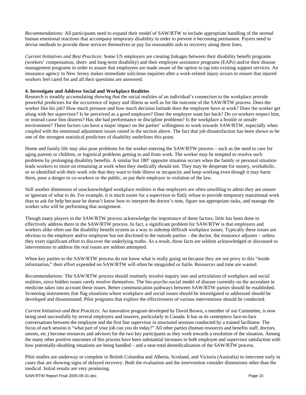*Recommendations:* All participants need to expand their model of SAW/RTW to include appropriate handling of the normal human emotional reactions that accompany temporary disability in order to prevent it becoming permanent. Payers need to devise methods to provide these services themselves or pay for reasonable aids to recovery along these lines.

*Current Initiatives and Best Practices:* Some US employers are creating linkages between their disability benefit programs (workers' compensation, short- and long-term disability) and their employee assistance programs (EAPs) and/or their disease management programs in order to assure that employees are made aware of the option to tap into existing support services. An insurance agency in New Jersey makes immediate solicitous inquiries after a work-related injury occurs to ensure that injured workers feel cared for and all their questions are answered.

#### **4. Investigate and Address Social and Workplace Realities**

Research is steadily accumulating showing that the social realities of an individual's connection to the workplace provide powerful predictors for the occurrence of injury and illness as well as for the outcome of the SAW/RTW process. Does the worker like his job? How much pressure and how much decision latitude does the employee have at work? Does the worker get along with her supervisor? Is he perceived as a good employee? Does the employer want her back? Do co-workers respect him, or instead cause him distress? Has she had performance or discipline problems? Is the workplace a hostile or unsafe environment? These factors can have a major impact on the parties' willingness to work towards SAW/RTW, especially when coupled with the emotional adjustment issues raised in the section above. The fact that job dissatisfaction has been shown to be one of the strongest statistical predictors of disability underlines this point.

Home and family life may also pose problems for the worker entering the SAW/RTW process – such as the need to care for aging parents or children, or logistical problems getting to and from work. The worker may be tempted to resolve such problems by prolonging disability benefits. A similar but 180° opposite situation occurs when the family or personal situation leads workers to insist on remaining at work when they medically should not. They may be desperate for money, workaholic, or so identified with their work role that they want to hide illness or incapacity and keep working even though it may harm them, pose a danger to co-workers or the public, or put their employer in violation of the law.

Still another dimension of unacknowledged workplace realities is that employers are often unwilling to admit they are unsure or ignorant of what to do. For example, it is much easier for a supervisor to flatly refuse to provide temporary transitional work than to ask for help because he doesn't know how to interpret the doctor's note, figure out appropriate tasks, and manage the worker who will be performing that assignment.

Though many players in the SAW/RTW process acknowledge the importance of these factors, little has been done to effectively address them in the SAW/RTW process. In fact, a significant problem for SAW/RTW is that employers and workers alike often use the disability benefit system as a way to sidestep difficult workplace issues. Typically these issues are obvious to the employer and/or employee but not disclosed to the outside parties – the doctor, the insurance adjuster – unless they exert significant effort to discover the underlying truths. As a result, these facts are seldom acknowledged or discussed so interventions to address the real issues are seldom attempted.

When key parties to the SAW/RTW process do not know what is really going on because they are not privy to this "inside" information," their effort expended on SAW/RTW will often be misguided or futile. Resources and time are wasted.

*Recommendations:* The SAW/RTW process should routinely involve inquiry into and articulation of workplace and social realities, since hidden issues rarely resolve themselves. The bio-psycho-social model of disease currently on the ascendant in medicine takes into account these issues. Better communication pathways between SAW/RTW parties should be established. Screening instruments that flag situations where workplace and social issues should be investigated or addressed should be developed and disseminated. Pilot programs that explore the effectiveness of various interventions should be conducted.

*Current Initiatives and Best Practices:* An innovative program developed by David Brown, a member of our Committee, is now being used successfully by several employers and insurers, particularly in Canada. It has as its centerpiece face-to-face conversations between the employee and the first line supervisor in structured sessions conducted by a trained facilitator. The focus of each session is "what part of your job can you do today?" All other parties (human resources and benefits staff, doctors, unions, etc.) become resources and advisors for the two key participants as they work towards a resolution of the situation. Among the many other positive outcomes of this process have been substantial increases in both employee and supervisor satisfaction with how potentially-disabling situations are being handled – and a near-total demedicalization of the SAW/RTW process.

Pilot studies are underway or complete in British Columbia and Alberta, Scotland, and Victoria (Australia) to intervene early in cases that are showing signs of delayed recovery. Both the evaluation and the intervention consider dimensions other than the medical. Initial results are very promising.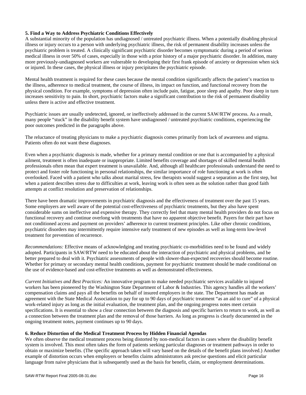# **5. Find a Way to Address Psychiatric Conditions Effectively**

A substantial minority of the population has undiagnosed / untreated psychiatric illness. When a potentially disabling physical illness or injury occurs to a person with underlying psychiatric illness, the risk of permanent disability increases unless the psychiatric problem is treated. A clinically significant psychiatric disorder becomes symptomatic during a period of serious medical illness in over 50% of cases, especially in those with a prior history of a major psychiatric disorder. In addition, many more previously-undiagnosed workers are vulnerable to developing their first frank episode of anxiety or depression when sick or injured. In these cases, the physical illness or injury precipitates the psychiatric episode.

Mental health treatment is required for these cases because the mental condition significantly affects the patient's reaction to the illness, adherence to medical treatment, the course of illness, its impact on function, and functional recovery from the physical condition. For example, symptoms of depression often include pain, fatigue, poor sleep and apathy. Poor sleep in turn increases sensitivity to pain. In short, psychiatric factors make a significant contribution to the risk of permanent disability unless there is active and effective treatment.

Psychiatric issues are usually undetected, ignored, or ineffectively addressed in the current SAW/RTW process. As a result, many people "stuck" in the disability benefit system have undiagnosed / untreated psychiatric conditions, experiencing the poor outcomes predicted in the paragraphs above.

The reluctance of treating physicians to make a psychiatric diagnosis comes primarily from lack of awareness and stigma. Patients often do not want these diagnoses.

Even when a psychiatric diagnosis is made, whether for a primary mental condition or one that is accompanied by a physical ailment, treatment is often inadequate or inappropriate. Limited benefits coverage and shortages of skilled mental health professionals often mean that expert treatment is unavailable. And, although all healthcare professionals understand the need to protect and foster role functioning in personal relationships, the similar importance of role functioning at work is often overlooked. Faced with a patient who talks about marital stress, few therapists would suggest a separation as the first step, but when a patient describes stress due to difficulties at work, leaving work is often seen as the solution rather than good faith attempts at conflict resolution and preservation of relationships.

There have been dramatic improvements in psychiatric diagnosis and the effectiveness of treatment over the past 15 years. Some employers are well aware of the potential cost-effectiveness of psychiatric treatments, but they also have spent considerable sums on ineffective and expensive therapy. They correctly feel that many mental health providers do not focus on functional recovery and continue overlong with treatments that have no apparent objective benefit. Payers for their part have not conditioned access and payment on providers' adherence to current treatment principles. Like other chronic conditions, psychiatric disorders may intermittently require intensive early treatment of new episodes as well as long-term low-level treatment for prevention of recurrence.

*Recommendations:* Effective means of acknowledging and treating psychiatric co-morbidities need to be found and widely adopted. Participants in SAW/RTW need to be educated about the interaction of psychiatric and physical problems, and be better prepared to deal with it. Psychiatric assessments of people with slower-than-expected recoveries should become routine. Whether for primary or secondary mental health conditions, payment for psychiatric treatment should be made conditional on the use of evidence-based and cost-effective treatments as well as demonstrated effectiveness.

*Current Initiatives and Best Practices:* An innovative program to make needed psychiatric services available to injured workers has been pioneered by the Washington State Department of Labor & Industries. This agency handles all the workers' compensation claims and pays all the benefits on behalf of insured employers in the state. The Department has made an agreement with the State Medical Association to pay for up to 90 days of psychiatric treatment "as an aid to cure" of a physical work-related injury as long as the initial evaluation, the treatment plan, and the ongoing progress notes meet certain specifications. It is essential to show a clear connection between the diagnosis and specific barriers to return to work, as well as a connection between the treatment plan and the removal of those barriers. As long as progress is clearly documented in the ongoing treatment notes, payment continues up to 90 days.

# **6. Reduce Distortion of the Medical Treatment Process by Hidden Financial Agendas**

We often observe the medical treatment process being distorted by non-medical factors in cases where the disability benefit system is involved. This most often takes the form of patients seeking particular diagnoses or treatment pathways in order to obtain or maximize benefits. (The specific approach taken will vary based on the details of the benefit plans involved.) Another example of distortion occurs when employers or benefits claims administrators ask precise questions and elicit particular language from naive physicians that is subsequently used as the basis for benefit, claim, or employment determinations.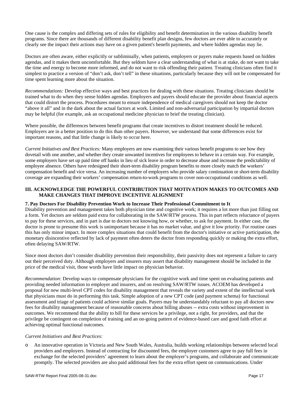One cause is the complex and differing sets of rules for eligibility and benefit determination in the various disability benefit programs. Since there are thousands of different disability benefit plan designs, few doctors are ever able to accurately or clearly see the impact their actions may have on a given patient's benefit payments, and where hidden agendas may lie.

Doctors are often aware, either explicitly or subliminally, when patients, employers or payers make requests based on hidden agendas, and it makes them uncomfortable. But they seldom have a clear understanding of what is at stake, do not want to take the time and energy to become more informed, and do not want to risk offending their patient. Treating clinicians often find it simplest to practice a version of "don't ask, don't tell" in these situations, particularly because they will not be compensated for time spent learning more about the situation.

*Recommendations:* Develop effective ways and best practices for dealing with these situations. Treating clinicians should be trained what to do when they sense hidden agendas. Employers and payers should educate the provider about financial aspects that could distort the process. Procedures meant to ensure independence of medical caregivers should not keep the doctor "above it all" and in the dark about the actual factors at work. Limited and non-adversarial participation by impartial doctors may be helpful (for example, ask an occupational medicine physician to brief the treating clinician).

Where possible, the differences between benefit programs that create incentives to distort treatment should be reduced. Employers are in a better position to do this than other payers. However, we understand that some differences exist for important reasons, and that little change is likely to occur here.

*Current Initiatives and Best Practices:* Many employers are now examining their various benefit programs to see how they dovetail with one another, and whether they create unwanted incentives for employees to behave in a certain way. For example, some employers have set up paid time off banks in lieu of sick leave in order to decrease abuse and increase the predictability of employee absence. Others have redesigned their short-term disability program benefits to more closely match the workers' compensation benefit and vice versa. An increasing number of employers who provide salary continuation or short-term disability coverage are expanding their workers' compensation return-to-work programs to cover non-occupational conditions as well.

# **III. ACKNOWLEDGE THE POWERFUL CONTRIBUTION THAT MOTIVATION MAKES TO OUTCOMES AND MAKE CHANGES THAT IMPROVE INCENTIVE ALIGNMENT**

# **7. Pay Doctors For Disability Prevention Work to Increase Their Professional Commitment to It**

Disability prevention and management takes both physician time and cognitive work; it requires a lot more than just filling out a form. Yet doctors are seldom paid extra for collaborating in the SAW/RTW process. This in part reflects reluctance of payers to pay for these services, and in part is due to doctors not knowing how, or whether, to ask for payment. In either case, the doctor is prone to presume this work is unimportant because it has no market value, and give it low priority. For routine cases this has only minor impact. In more complex situations that could benefit from the doctor's initiative or active participation, the monetary disincentive reflected by lack of payment often deters the doctor from responding quickly or making the extra effort, often delaying SAW/RTW.

Since most doctors don't consider disability prevention their responsibility, their passivity does not represent a failure to carry out their perceived duty. Although employers and insurers may assert that disability management should be included in the price of the medical visit, those words have little impact on physician behavior.

*Recommendation:* Develop ways to compensate physicians for the cognitive work and time spent on evaluating patients and providing needed information to employer and insurers, and on resolving SAW/RTW issues. ACOEM has developed a proposal for new multi-level CPT codes for disability management that reveals the variety and extent of the intellectual work that physicians must do in performing this task. Simple adoption of a new CPT code (and payment schema) for functional assessment and triage of patients could achieve similar goals. Payers may be understandably reluctant to pay all doctors new fees for disability management because of reasonable concerns about billing abuses -- extra costs without improvement in outcomes. We recommend that the ability to bill for these services be a privilege, not a right, for providers, and that the privilege be contingent on completion of training and an on-going pattern of evidence-based care and good faith effort at achieving optimal functional outcomes.

#### *Current Initiatives and Best Practices:*

o An innovative operation in Victoria and New South Wales, Australia, builds working relationships between selected local providers and employers. Instead of contracting for discounted fees, the employer customers agree to pay full fees in exchange for the selected providers' agreement to learn about the employer's programs, and collaborate and communicate promptly. The selected providers are also paid additional fees for the extra effort spent on communications. Under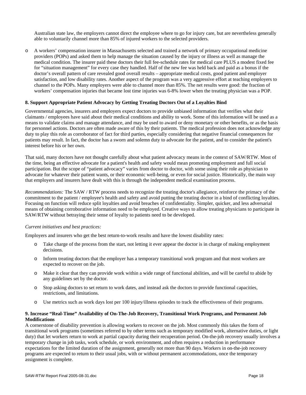Australian state law, the employers cannot direct the employee where to go for injury care, but are nevertheless generally able to voluntarily channel more than 85% of injured workers to the selected providers.

o A workers' compensation insurer in Massachusetts selected and trained a network of primary occupational medicine providers (POPs) and asked them to help manage the situation caused by the injury or illness as well as manage the medical condition. The insurer paid these doctors their full fee-schedule rates for medical care PLUS a modest fixed fee for "situation management" for every case they handled. Half of the new fee was held back and paid as a bonus if the doctor's overall pattern of care revealed good overall results – appropriate medical costs, good patient and employer satisfaction, and low disability rates. Another aspect of the program was a very aggressive effort at teaching employers to channel to the POPs. Many employers were able to channel more than 85%. The net results were good: the fraction of workers' compensation injuries that became lost time injuries was 6-8% lower when the treating physician was a POP.

#### **8. Support Appropriate Patient Advocacy by Getting Treating Doctors Out of a Loyalties Bind**

Governmental agencies, insurers and employers expect doctors to provide unbiased information that verifies what their claimants / employees have said about their medical conditions and ability to work. Some of this information will be used as a means to validate claims and manage attendance, and may be used to award or deny monetary or other benefits, or as the basis for personnel actions. Doctors are often made aware of this by their patients. The medical profession does not acknowledge any duty to play this role as corroborator of fact for third parties, especially considering that negative financial consequences for patients may result. In fact, the doctor has a sworn and solemn duty to advocate for the patient, and to consider the patient's interest before his or her own.

That said, many doctors have not thought carefully about what patient advocacy means in the context of SAW/RTW. Most of the time, being an effective advocate for a patient's health and safety would mean promoting employment and full social participation. But the scope of "patient advocacy" varies from doctor to doctor, with some using their role as physician to advocate for whatever their patient wants, or their economic well-being, or even for social justice. Historically, the main way that employers and insurers have dealt with this is through the independent medical examination process.

*Recommendations:* The SAW / RTW process needs to recognize the treating doctor's allegiance, reinforce the primacy of the commitment to the patient / employee's health and safety and avoid putting the treating doctor in a bind of conflicting loyalties. Focusing on function will reduce split loyalties and avoid breaches of confidentiality. Simpler, quicker, and less adversarial means of obtaining corroborative information need to be employed. Creative ways to allow treating physicians to participate in SAW/RTW without betraying their sense of loyalty to patients need to be developed.

#### *Current initiatives and best practices:*

Employers and insurers who get the best return-to-work results and have the lowest disability rates:

- o Take charge of the process from the start, not letting it ever appear the doctor is in charge of making employment decisions.
- o Inform treating doctors that the employer has a temporary transitional work program and that most workers are expected to recover on the job.
- o Make it clear that they can provide work within a wide range of functional abilities, and will be careful to abide by any guidelines set by the doctor.
- o Stop asking doctors to set return to work dates, and instead ask the doctors to provide functional capacities, restrictions, and limitations.
- o Use metrics such as work days lost per 100 injury/illness episodes to track the effectiveness of their programs.

#### **9. Increase "Real-Time" Availability of On-The-Job Recovery, Transitional Work Programs, and Permanent Job Modifications**

A cornerstone of disability prevention is allowing workers to recover on the job. Most commonly this takes the form of transitional work programs (sometimes referred to by other terms such as temporary modified work, alternative duties, or light duty) that let workers return to work at partial capacity during their recuperation period. On-the-job recovery usually involves a temporary change in job tasks, work schedule, or work environment, and often requires a reduction in performance expectations for the limited duration of the assignment, generally not more than 90 days. Workers in on-the-job recovery programs are expected to return to their usual jobs, with or without permanent accommodations, once the temporary assignment is complete.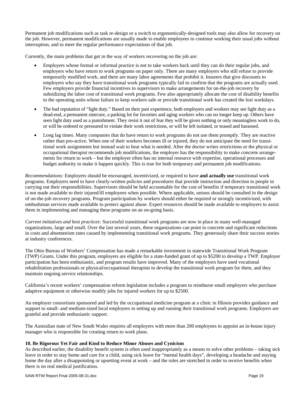Permanent job modifications such as task re-design or a switch to ergonomically-designed tools may also allow for recovery on the job. However, permanent modifications are usually made to enable employees to continue working their usual jobs without interruption, and to meet the regular performance expectations of that job.

Currently, the main problems that get in the way of workers recovering on the job are:

- Employers whose formal or informal practice is not to take workers back until they can do their regular jobs, and employers who have return to work programs on paper only. There are many employers who still refuse to provide temporarily modified work, and there are many labor agreements that prohibit it. Insurers that give discounts to employers who say they have transitional work programs typically fail to confirm that the programs are actually used. Few employers provide financial incentives to supervisors to make arrangements for on-the-job recovery by subsidizing the labor cost of transitional work programs. Few also appropriately allocate the cost of disability benefits to the operating units whose failure to keep workers safe or provide transitional work has created the lost workdays.
- The bad reputation of "light duty." Based on their past experience, both employers and workers may see light duty as a dead-end, a permanent sinecure, a parking lot for favorites and aging workers who can no longer keep up. Others have seen light duty used as a punishment. They resist it out of fear they will be given nothing or only meaningless work to do, or will be ordered or pressured to violate their work restrictions, or will be left isolated, or teased and harassed.
- Long lag times. Many companies that do have return to work programs do not use them promptly. They are reactive rather than pro-active. When one of their workers becomes ill or injured, they do not anticipate the need for transitional work assignments but instead wait to hear what is needed. After the doctor writes restrictions or the physical or occupational therapist recommends job modifications, the employer has the responsibility to make concrete arrangements for return to work – but the employer often has no internal resource with expertise, operational processes and budget authority to make it happen quickly. This is true for both temporary and permanent job modifications.

*Recommendations:* Employers should be encouraged, incentivized, or required to have **and actually use** transitional work programs. Employers need to have clearly-written policies and procedures that provide instruction and direction to people in carrying out their responsibilities. Supervisors should be held accountable for the cost of benefits if temporary transitional work is not made available to their injured/ill employees when possible. Where applicable, unions should be consulted in the design of on-the-job recovery programs. Program participation by workers should either be required or strongly incentivized, with ombudsman services made available to protect against abuse. Expert resources should be made available to employers to assist them in implementing and managing these programs on an on-going basis.

*Current initiatives and best practices:* Successful transitional work programs are now in place in many well-managed organizations, large and small. Over the last several years, these organizations can point to concrete and significant reductions in costs and absenteeism rates caused by implementing transitional work programs. They generously share their success stories at industry conferences.

The Ohio Bureau of Workers' Compensation has made a remarkable investment in statewide Transitional Work Program (TWP) Grants. Under this program, employers are eligible for a state-funded grant of up to \$5200 to develop a TWP. Employer participation has been enthusiastic, and program results have improved. Many of the employers have used vocational rehabilitation professionals or physical/occupational therapists to develop the transitional work program for them, and they maintain ongoing service relationships.

California's recent workers' compensation reform legislation includes a program to reimburse small employers who purchase adaptive equipment or otherwise modify jobs for injured workers for up to \$2500.

An employer consortium sponsored and led by the occupational medicine program at a clinic in Illinois provides guidance and support to small- and medium-sized local employers in setting up and running their transitional work programs. Employers are grateful and provide enthusiastic support.

The Australian state of New South Wales requires all employers with more than 200 employees to appoint an in-house injury manager who is responsible for creating return to work plans.

# **10. Be Rigorous Yet Fair and Kind to Reduce Minor Abuses and Cynicism**

As described earlier, the disability benefit system is often used inappropriately as a means to solve other problems – taking sick leave in order to stay home and care for a child, using sick leave for "mental health days", developing a headache and staying home the day after a disappointing or upsetting event at work – and the rules are stretched in order to receive benefits when there is no real medical justification.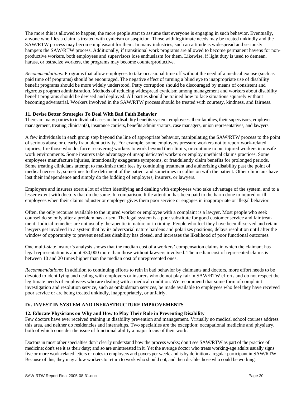The more this is allowed to happen, the more people start to assume that everyone is engaging in such behavior. Eventually, anyone who files a claim is treated with cynicism or suspicion. Those with legitimate needs may be treated unkindly and the SAW/RTW process may become unpleasant for them. In many industries, such an attitude is widespread and seriously hampers the SAW/RTW process. Additionally, if transitional work programs are allowed to become permanent havens for nonproductive workers, both employees and supervisors lose enthusiasm for them. Likewise, if light duty is used to demean, harass, or ostracize workers, the programs may become counterproductive.

*Recommendations:* Programs that allow employees to take occasional time off without the need of a medical excuse (such as paid time off programs) should be encouraged. The negative effect of turning a blind eye to inappropriate use of disability benefit programs should be more widely understood. Petty corruption should be discouraged by means of consistent and rigorous program administration. Methods of reducing widespread cynicism among management and workers about disability benefit programs should be devised and deployed. All parties should be trained how to face situations squarely without becoming adversarial. Workers involved in the SAW/RTW process should be treated with courtesy, kindness, and fairness.

# **11. Devise Better Strategies To Deal With Bad Faith Behavior**

There are many parties to individual cases in the disability benefits system: employees, their families, their supervisors, employer management, treating clinician(s), insurance carriers, benefits administrators, case managers, union representatives, and lawyers.

A few individuals in each group step beyond the line of appropriate behavior, manipulating the SAW/RTW process to the point of serious abuse or clearly fraudulent activity. For example, some employers pressure workers not to report work-related injuries, fire those who do, force recovering workers to work beyond their limits, or continue to put injured workers in unsafe work environments. Some insurers take advantage of unsophisticated workers or employ unethical claims practices. Some employees manufacture injuries, intentionally exaggerate symptoms, or fraudulently claim benefits for prolonged periods. Some treating clinicians attempt to maximize their fees by continuing treatment and authorizing disability past the point of medical necessity, sometimes to the detriment of the patient and sometimes in collusion with the patient. Other clinicians have lost their independence and simply do the bidding of employers, insurers, or lawyers.

Employers and insurers exert a lot of effort identifying and dealing with employees who take advantage of the system, and to a lesser extent with doctors that do the same. In comparison, little attention has been paid to the harm done to injured or ill employees when their claims adjuster or employer gives them poor service or engages in inappropriate or illegal behavior.

Often, the only recourse available to the injured worker or employee with a complaint is a lawyer. Most people who seek counsel do so only after a problem has arisen. The legal system is a poor substitute for good customer service and fair treatment. Judicial remedies are not usually therapeutic in nature or in timing. People who feel they have been ill-served and retain lawyers get involved in a system that by its adversarial nature hardens and polarizes positions, delays resolution until after the window of opportunity to prevent needless disability has closed, and increases the likelihood of poor functional outcomes.

One multi-state insurer's analysis shows that the median cost of a workers' compensation claims in which the claimant has legal representation is about \$30,000 more than those without lawyers involved. The median cost of represented claims is between 10 and 20 times higher than the median cost of unrepresented ones.

*Recommendations:* In addition to continuing efforts to rein in bad behavior by claimants and doctors, more effort needs to be devoted to identifying and dealing with employers or insurers who do not play fair in SAW/RTW efforts and do not respect the legitimate needs of employees who are dealing with a medical condition. We recommend that some form of complaint investigation and resolution service, such as ombudsman services, be made available to employees who feel they have received poor service or are being treated unkindly, inappropriately, or unfairly.

# **IV. INVEST IN SYSTEM AND INFRASTRUCTURE IMPROVEMENTS**

#### **12. Educate Physicians on Why and How to Play Their Role in Preventing Disability**

Few doctors have ever received training in disability prevention and management. Virtually no medical school courses address this area, and neither do residencies and internships. Two specialties are the exception: occupational medicine and physiatry, both of which consider the issue of functional ability a major focus of their work.

Doctors in most other specialties don't clearly understand how the process works; don't see SAW/RTW as part of the practice of medicine; don't see it as their duty; and so are uninterested in it. Yet the average doctor who treats working-age adults usually signs five or more work-related letters or notes to employers and payers per week, and is by definition a regular participant in SAW/RTW. Because of this, they may allow workers to return to work who should not, and then disable those who could be working.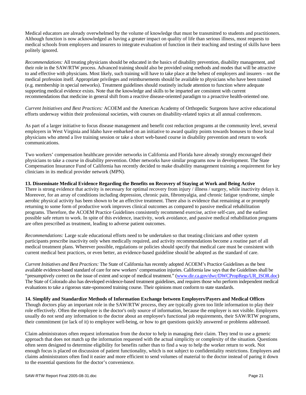Medical educators are already overwhelmed by the volume of knowledge that must be transmitted to students and practitioners. Although function is now acknowledged as having a greater impact on quality of life than serious illness, most requests to medical schools from employers and insurers to integrate evaluation of function in their teaching and testing of skills have been politely ignored.

*Recommendations:* All treating physicians should be educated in the basics of disability prevention, disability management, and their role in the SAW/RTW process. Advanced training should also be provided using methods and modes that will be attractive to and effective with physicians. Most likely, such training will have to take place at the behest of employers and insurers – not the medical profession itself. Appropriate privileges and reimbursements should be available to physicians who have been trained (e.g. membership in special networks). Treatment guidelines should routinely include attention to function where adequate supporting medical evidence exists. Note that the knowledge and skills to be imparted are consistent with current recommendations that medicine in general shift from a reactive disease-oriented paradigm to a proactive health-oriented one.

*Current Initiatives and Best Practices:* ACOEM and the American Academy of Orthopedic Surgeons have active educational efforts underway within their professional societies, with courses on disability-related topics at all annual conferences.

As part of a larger initiative to focus disease management and benefit cost reduction programs at the community level, several employers in West Virginia and Idaho have embarked on an initiative to award quality points towards bonuses to those local physicians who attend a live training session or take a short web-based course in disability prevention and return to work communications.

Two workers' compensation healthcare provider networks in California and Florida have already strongly encouraged their physicians to take a course in disability prevention. Other networks have similar programs now in development. The State Compensation Insurance Fund of California has recently decided to make disability management training a requirement for key clinicians in its medical provider network (MPN).

#### **13. Disseminate Medical Evidence Regarding the Benefits on Recovery of Staying at Work and Being Active**

There is strong evidence that activity is necessary for optimal recovery from injury / illness / surgery, while inactivity delays it. Moreover, for an array of conditions including depression, chronic pain, fibromyalgia, and chronic fatigue syndrome, simple aerobic physical activity has been shown to be an effective treatment. There also is evidence that remaining at or promptly returning to some form of productive work improves clinical outcomes as compared to passive medical rehabilitation programs. Therefore, the ACOEM Practice Guidelines consistently recommend exercise, active self-care, and the earliest possible safe return to work. In spite of this evidence, inactivity, work avoidance, and passive medical rehabilitation programs are often prescribed as treatment, leading to adverse patient outcomes.

*Recommendations:* Large scale educational efforts need to be undertaken so that treating clinicians and other system participants prescribe inactivity only when medically required, and activity recommendations become a routine part of all medical treatment plans. Wherever possible, regulations or policies should specify that medical care must be consistent with current medical best practices, or even better, an evidence-based guideline should be adopted as the standard of care.

*Current Initiatives and Best Practices:* The State of California has recently adopted ACOEM's Practice Guidelines as the best available evidence-based standard of care for new workers' compensation injuries. California law says that the Guidelines shall be "presumptively correct on the issue of extent and scope of medical treatment." (www.dir.ca.gov/dwc/DWCPropRegs/UR\_ISOR.doc) The State of Colorado also has developed evidence-based treatment guidelines, and requires those who perform independent medical evaluations to take a rigorous state-sponsored training course. Their opinions must conform to state standards.

#### **14. Simplify and Standardize Methods of Information Exchange between Employers/Payers and Medical Offices**

Though doctors play an important role in the SAW/RTW process, they are typically given too little information to play their role effectively. Often the employee is the doctor's only source of information, because the employer is not visible. Employers usually do not send any information to the doctor about an employee's functional job requirements, their SAW/RTW programs, their commitment (or lack of it) to employee well-being, or how to get questions quickly answered or problems addressed.

Claim administrators often request information from the doctor to help in managing their claim. They tend to use a generic approach that does not match up the information requested with the actual simplicity or complexity of the situation. Questions often seem designed to determine eligibility for benefits rather than to find a way to help the worker return to work. Not enough focus is placed on discussion of patient functionality, which is not subject to confidentiality restrictions. Employers and claims administrators often find it easier and more efficient to send volumes of material to the doctor instead of paring it down to the essential questions for the doctor's convenience.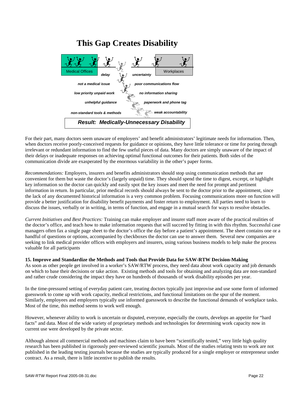

For their part, many doctors seem unaware of employers' and benefit administrators' legitimate needs for information. Then, when doctors receive poorly-conceived requests for guidance or opinions, they have little tolerance or time for poring through irrelevant or redundant information to find the few useful pieces of data. Many doctors are simply unaware of the impact of their delays or inadequate responses on achieving optimal functional outcomes for their patients. Both sides of the communication divide are exasperated by the enormous variability in the other's paper forms.

*Recommendations:* Employers, insurers and benefits administrators should stop using communication methods that are convenient for them but waste the doctor's (largely unpaid) time. They should spend the time to digest, excerpt, or highlight key information so the doctor can quickly and easily spot the key issues and meet the need for prompt and pertinent information in return. In particular, prior medical records should always be sent to the doctor prior to the appointment, since the lack of any documented historical information is a very common problem. Focusing communications more on function will provide a better justification for disability benefit payments and foster return to employment. All parties need to learn to discuss the issues, verbally or in writing, in terms of function, and engage in a mutual search for ways to resolve obstacles.

*Current Initiatives and Best Practices:* Training can make employer and insurer staff more aware of the practical realities of the doctor's office, and teach how to make information requests that will succeed by fitting in with this rhythm. Successful case managers often fax a single page sheet to the doctor's office the day before a patient's appointment. The sheet contains one or a handful of questions or options, accompanied by checkboxes the doctor can use to answer them. Several new companies are seeking to link medical provider offices with employers and insurers, using various business models to help make the process valuable for all participants

# **15. Improve and Standardize the Methods and Tools that Provide Data for SAW-RTW Decision-Making**

As soon as other people get involved in a worker's SAW/RTW process, they need data about work capacity and job demands on which to base their decisions or take action. Existing methods and tools for obtaining and analyzing data are non-standard and rather crude considering the impact they have on hundreds of thousands of work disability episodes per year.

In the time-pressured setting of everyday patient care, treating doctors typically just improvise and use some form of informed guesswork to come up with work capacity, medical restrictions, and functional limitations on the spur of the moment. Similarly, employees and employers typically use informed guesswork to describe the functional demands of workplace tasks. Most of the time, this method seems to work well enough.

However, whenever ability to work is uncertain or disputed, everyone, especially the courts, develops an appetite for "hard facts" and data. Most of the wide variety of proprietary methods and technologies for determining work capacity now in current use were developed by the private sector.

Although almost all commercial methods and machines claim to have been "scientifically tested," very little high quality research has been published in rigorously peer-reviewed scientific journals. Most of the studies relating tests to work are not published in the leading testing journals because the studies are typically produced for a single employer or entrepreneur under contract. As a result, there is little incentive to publish the results.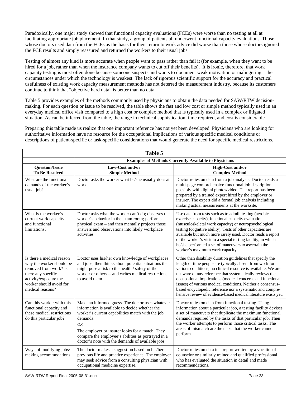Paradoxically, one major study showed that functional capacity evaluations (FCEs) were worse than no testing at all at facilitating appropriate job placement. In that study, a group of patients all underwent functional capacity evaluations. Those whose doctors used data from the FCEs as the basis for their return to work advice did worse than those whose doctors ignored the FCE results and simply reassured and returned the workers to their usual jobs.

Testing of almost any kind is more accurate when people want to pass rather than fail it (for example, when they want to be hired for a job, rather than when the insurance company wants to cut off their benefits). It is ironic, therefore, that work capacity testing is most often done because someone suspects and wants to document weak motivation or malingering – the circumstances under which the technology is weakest. The lack of rigorous scientific support for the accuracy and practical usefulness of existing work capacity measurement methods has not deterred the measurement industry, because its customers continue to think that "objective hard data" is better than no data.

Table 5 provides examples of the methods commonly used by physicians to obtain the data needed for SAW/RTW decisionmaking. For each question or issue to be resolved, the table shows the fast and low cost or simple method typically used in an everyday medical office visit compared to a high cost or complex method that is typically used in a complex or litigated situation. As can be inferred from the table, the range in technical sophistication, time required, and cost is considerable.

Preparing this table made us realize that one important reference has not yet been developed. Physicians who are looking for authoritative information have no resource for the occupational implications of various specific medical conditions or descriptions of patient-specific or task-specific considerations that would generate the need for specific medical restrictions.

| Table 5                                                                                                                                                                      |                                                                                                                                                                                                                                                                                                                                        |                                                                                                                                                                                                                                                                                                                                                                                                                                                                                                                  |  |  |
|------------------------------------------------------------------------------------------------------------------------------------------------------------------------------|----------------------------------------------------------------------------------------------------------------------------------------------------------------------------------------------------------------------------------------------------------------------------------------------------------------------------------------|------------------------------------------------------------------------------------------------------------------------------------------------------------------------------------------------------------------------------------------------------------------------------------------------------------------------------------------------------------------------------------------------------------------------------------------------------------------------------------------------------------------|--|--|
|                                                                                                                                                                              | <b>Examples of Methods Currently Available to Physicians</b>                                                                                                                                                                                                                                                                           |                                                                                                                                                                                                                                                                                                                                                                                                                                                                                                                  |  |  |
| <b>Question/Issue</b><br><b>To Be Resolved</b>                                                                                                                               | Low-Cost and/or<br><b>Simple Method</b>                                                                                                                                                                                                                                                                                                | High-Cost and/or<br><b>Complex Method</b>                                                                                                                                                                                                                                                                                                                                                                                                                                                                        |  |  |
| What are the functional<br>demands of the worker's<br>usual job?                                                                                                             | Doctor asks the worker what he/she usually does at<br>work.                                                                                                                                                                                                                                                                            | Doctor relies on data from a job analysis. Doctor reads a<br>multi-page comprehensive functional job description<br>possibly with digital photos/video. The report has been<br>prepared by a trained expert hired by the employer or<br>insurer. The expert did a formal job analysis including<br>making actual measurements at the worksite.                                                                                                                                                                   |  |  |
| What is the worker's<br>current work capacity<br>and functional<br>limitations?                                                                                              | Doctor asks what the worker can't do; observes the<br>worker's behavior in the exam room; performs a<br>physical exam - and then mentally projects those<br>answers and observations into likely workplace<br>activities                                                                                                               | Use data from tests such as treadmill testing (aerobic<br>exercise capacity), functional capacity evaluation<br>(musculoskeletal work capacity) or neuropsychological<br>testing (cognitive ability). Tests of other capacities are<br>available but much more rarely used. Doctor reads a report<br>of the worker's visit to a special testing facility, in which<br>he/she performed a set of maneuvers to ascertain the<br>worker's maximum work capacity.                                                    |  |  |
| Is there a medical reason<br>why the worker should be<br>removed from work? Is<br>there any specific<br>activity/exposure the<br>worker should avoid for<br>medical reasons? | Doctor uses his/her own knowledge of workplaces<br>and jobs, then thinks about potential situations that<br>might pose a risk to the health / safety of the<br>worker or others -- and writes medical restrictions<br>to avoid them.                                                                                                   | Other than disability duration guidelines that specify the<br>length of time people are typically absent from work for<br>various conditions, no clinical resource is available. We are<br>unaware of any reference that systematically reviews the<br>occupational implications (medical concerns and functional<br>issues) of various medical conditions. Neither a consensus-<br>based encyclopedic reference nor a systematic and compre-<br>hensive review of evidence-based medical literature exists yet. |  |  |
| Can this worker with this<br>functional capacity and<br>these medical restrictions<br>do this particular job?                                                                | Make an informed guess. The doctor uses whatever<br>information is available to decide whether the<br>worker's current capabilities match with the job<br>demands.<br>OR.<br>The employer or insurer looks for a match. They<br>compare the employee's abilities as portrayed in a<br>doctor's note with the demands of available jobs | Doctor relies on data from functional testing. Using<br>information about a particular job, a testing facility devises<br>a set of maneuvers that duplicate the maximum functional<br>demands required by the tasks of that particular job. Then<br>the worker attempts to perform those critical tasks. The<br>areas of mismatch are the tasks that the worker cannot<br>perform.                                                                                                                               |  |  |
| Ways of modifying jobs/<br>making accommodations                                                                                                                             | The doctor makes a suggestion based on his/her<br>previous life and practice experience. The employer<br>may seek advice from a consulting physician with<br>occupational medicine expertise.                                                                                                                                          | Doctor relies on data in a report written by a vocational<br>counselor or similarly trained and qualified professional<br>who has evaluated the situation in detail and made<br>recommendations.                                                                                                                                                                                                                                                                                                                 |  |  |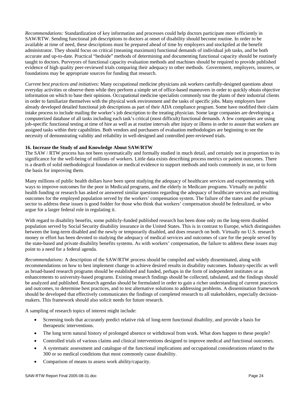*Recommendations:* Standardization of key information and processes could help doctors participate more efficiently in SAW/RTW. Sending functional job descriptions to doctors at onset of disability should become routine. In order to be available at time of need, these descriptions must be prepared ahead of time by employers and stockpiled at the benefit administrator. They should focus on critical (meaning maximum) functional demands of individual job tasks, and be both accurate and up-to-date. Practical "bedside" methods of determining and documenting functional capacity should be routinely taught to doctors. Purveyors of functional capacity evaluation methods and machines should be required to provide published evidence of high quality peer-reviewed trials comparing their adequacy to other methods. Government, employers, insurers, or foundations may be appropriate sources for funding that research.

*Current best practices and initiatives:* Many occupational medicine physicians ask workers carefully-designed questions about everyday activities or observe them while they perform a simple set of office-based maneuvers in order to quickly obtain objective information on which to base their opinions. Occupational medicine specialists commonly tour the plants of their industrial clients in order to familiarize themselves with the physical work environment and the tasks of specific jobs. Many employers have already developed detailed functional job descriptions as part of their ADA compliance program. Some have modified their claim intake process to include mailing the worker's job description to the treating physician. Some large companies are developing a computerized database of all tasks including each task's critical (most difficult) functional demands. A few companies are using job-specific functional testing at time of hire as well as at routine intervals after injury or illness in order to assure that workers are assigned tasks within their capabilities. Both vendors and purchasers of evaluation methodologies are beginning to see the necessity of demonstrating validity and reliability in well-designed and controlled peer-reviewed trials.

#### **16. Increase the Study of and Knowledge About SAW/RTW**

The SAW / RTW process has not been systematically and formally studied in much detail, and certainly not in proportion to its significance for the well-being of millions of workers. Little data exists describing process metrics or patient outcomes. There is a dearth of solid methodological foundation or medical evidence to support methods and tools commonly in use, or to form the basis for improving them.

Many millions of public health dollars have been spent studying the adequacy of healthcare services and experimenting with ways to improve outcomes for the poor in Medicaid programs, and the elderly in Medicare programs. Virtually no public health funding or research has asked or answered similar questions regarding the adequacy of healthcare services and resulting outcomes for the employed population served by the workers' compensation system. The failure of the states and the private sector to address these issues is good fodder for those who think that workers' compensation should be federalized, or who argue for a larger federal role in regulating it.

With regard to disability benefits, some publicly-funded published research has been done only on the long-term disabled population served by Social Security disability insurance in the United States. This is in contrast to Europe, which distinguishes between the long-term disabled and the newly or temporarily disabled, and does research on both. Virtually no U.S. research money or effort has been devoted to studying the adequacy of medical services and outcomes of care for the people served by the state-based and private disability benefits systems. As with workers' compensation, the failure to address these issues may point to a need for a federal agenda.

*Recommendations:* A description of the SAW/RTW process should be compiled and widely disseminated, along with recommendations on how to best implement change to achieve desired results in disability outcomes. Industry-specific as well as broad-based research programs should be established and funded, perhaps in the form of independent institutes or as enhancements to university-based programs. Existing research findings should be collected, tabulated, and the findings should be analyzed and published. Research agendas should be formulated in order to gain a richer understanding of current practices and outcomes, to determine best practices, and to test alternative solutions to addressing problems. A dissemination framework should be developed that effectively communicates the findings of completed research to all stakeholders, especially decisionmakers. This framework should also solicit needs for future research.

A sampling of research topics of interest might include:

- Screening tools that accurately predict relative risk of long-term functional disability, and provide a basis for therapeutic interventions.
- The long term natural history of prolonged absence or withdrawal from work. What does happen to these people?
- Controlled trials of various claims and clinical interventions designed to improve medical and functional outcomes.
- A systematic assessment and catalogue of the functional implications and occupational considerations related to the 300 or so medical conditions that most commonly cause disability.
- Comparison of means to assess work ability/capacity.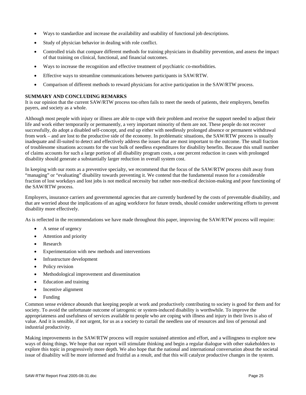- Ways to standardize and increase the availability and usability of functional job descriptions.
- Study of physician behavior in dealing with role conflict.
- Controlled trials that compare different methods for training physicians in disability prevention, and assess the impact of that training on clinical, functional, and financial outcomes.
- Ways to increase the recognition and effective treatment of psychiatric co-morbidities.
- Effective ways to streamline communications between participants in SAW/RTW.
- Comparison of different methods to reward physicians for active participation in the SAW/RTW process.

#### **SUMMARY AND CONCLUDING REMARKS**

It is our opinion that the current SAW/RTW process too often fails to meet the needs of patients, their employers, benefits payers, and society as a whole.

Although most people with injury or illness are able to cope with their problem and receive the support needed to adjust their life and work either temporarily or permanently, a very important minority of them are not. These people do not recover successfully, do adopt a disabled self-concept, and end up either with needlessly prolonged absence or permanent withdrawal from work – and are lost to the productive side of the economy. In problematic situations, the SAW/RTW process is usually inadequate and ill-suited to detect and effectively address the issues that are most important to the outcome. The small fraction of troublesome situations accounts for the vast bulk of needless expenditures for disability benefits. Because this small number of claims accounts for such a large portion of all disability program costs, a one percent reduction in cases with prolonged disability should generate a substantially larger reduction in overall system cost.

In keeping with our roots as a preventive specialty, we recommend that the focus of the SAW/RTW process shift away from "managing" or "evaluating" disability towards preventing it. We contend that the fundamental reason for a considerable fraction of lost workdays and lost jobs is not medical necessity but rather non-medical decision-making and poor functioning of the SAW/RTW process.

Employers, insurance carriers and governmental agencies that are currently burdened by the costs of preventable disability, and that are worried about the implications of an aging workforce for future trends, should consider underwriting efforts to prevent disability more effectively.

As is reflected in the recommendations we have made throughout this paper, improving the SAW/RTW process will require:

- A sense of urgency
- Attention and priority
- Research
- Experimentation with new methods and interventions
- Infrastructure development
- Policy revision
- Methodological improvement and dissemination
- Education and training
- Incentive alignment
- Funding

Common sense evidence abounds that keeping people at work and productively contributing to society is good for them and for society. To avoid the unfortunate outcome of iatrogenic or system-induced disability is worthwhile. To improve the appropriateness and usefulness of services available to people who are coping with illness and injury in their lives is also of value. And it is sensible, if not urgent, for us as a society to curtail the needless use of resources and loss of personal and industrial productivity.

Making improvements in the SAW/RTW process will require sustained attention and effort, and a willingness to explore new ways of doing things. We hope that our report will stimulate thinking and begin a regular dialogue with other stakeholders to explore this topic in progressively more depth. We also hope that the national and international conversation about the societal issue of disability will be more informed and fruitful as a result, and that this will catalyze productive changes in the system.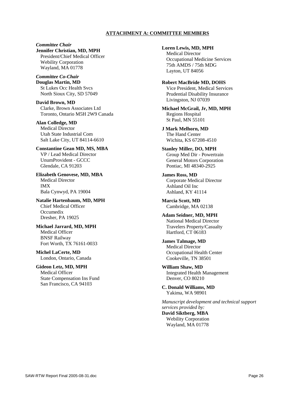#### **ATTACHMENT A: COMMITTEE MEMBERS**

*Committee Chair*  **Jennifer Christian, MD, MPH**  President/Chief Medical Officer Webility Corporation Wayland, MA 01778

*Committee Co-Chair*  **Douglas Martin, MD**  St Lukes Occ Health Svcs North Sioux City, SD 57049

**David Brown, MD**  Clarke, Brown Associates Ltd Toronto, Ontario M5H 2W9 Canada

**Alan Colledge, MD**  Medical Director Utah State Industrial Com Salt Lake City, UT 84114-6610

**Constantine Gean MD, MS, MBA**  VP / Lead Medical Director UnumProvident - GCCC Glendale, CA 91203

**Elizabeth Genovese, MD, MBA**  Medical Director IMX Bala Cynwyd, PA 19004

**Natalie Hartenbaum, MD, MPH**  Chief Medical Officer Occumedix Dresher, PA 19025

**Michael Jarrard, MD, MPH**  Medical Officer BNSF Railway Fort Worth, TX 76161-0033

**Michel LaCerte, MD**  London, Ontario, Canada

**Gideon Letz, MD, MPH**  Medical Officer State Compensation Ins Fund San Francisco, CA 94103

**Loren Lewis, MD, MPH** 

Medical Director Occupational Medicine Services 75th AMDS / 75th MDG Layton, UT 84056

**Robert MacBride MD, DOHS**  Vice President, Medical Services Prudential Disability Insurance Livingston, NJ 07039

**Michael McGrail, Jr, MD, MPH**  Regions Hospital St Paul, MN 55101

**J Mark Melhorn, MD**  The Hand Center Wichita, KS 67208-4510

**Stanley Miller, DO, MPH**  Group Med Dir - Powertrain General Motors Corporation Pontiac, MI 48340-2925

**James Ross, MD**  Corporate Medical Director Ashland Oil Inc Ashland, KY 41114

**Marcia Scott, MD**  Cambridge, MA 02138

**Adam Seidner, MD, MPH**  National Medical Director Travelers Property/Casualty Hartford, CT 06183

**James Talmage, MD**  Medical Director Occupational Health Center Cookeville, TN 38501

**William Shaw, MD**  Integrated Health Management Denver, CO 80210

**C. Donald Williams, MD**  Yakima, WA 98901

*Manuscript development and technical support services provided by:* 

**David Siktberg, MBA**  Webility Corporation Wayland, MA 01778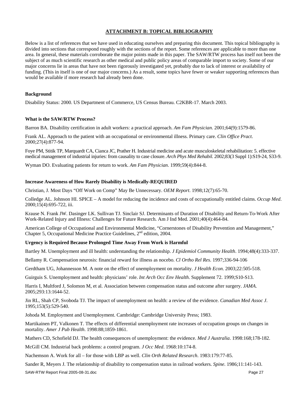# **ATTACHMENT B: TOPICAL BIBLIOGRAPHY**

Below is a list of references that we have used in educating ourselves and preparing this document. This topical bibliography is divided into sections that correspond roughly with the sections of the report. Some references are applicable to more than one area. In general, these materials corroborate the major points made in this paper. The SAW/RTW process has itself not been the subject of as much scientific research as other medical and public policy areas of comparable import to society. Some of our major concerns lie in areas that have not been rigorously investigated yet, probably due to lack of interest or availability of funding. (This in itself is one of our major concerns.) As a result, some topics have fewer or weaker supporting references than would be available if more research had already been done.

#### **Background**

Disability Status: 2000. US Department of Commerce, US Census Bureau. C2KBR-17. March 2003.

#### **What is the SAW/RTW Process?**

Barron BA. Disability certification in adult workers: a practical approach. *Am Fam Physician*. 2001;64(9):1579-86.

Frank AL. Approach to the patient with an occupational or environmental illness. Primary care. *Clin Office Pract*. 2000;27(4):877-94.

Foye PM, Stitik TP, Marquardt CA, Cianca JC, Prather H. Industrial medicine and acute musculoskeletal rehabilitation: 5. effective medical management of industrial injuries: from causality to case closure. *Arch Phys Med Rehabil*. 2002;83(3 Suppl 1):S19-24, S33-9.

Wyman DO. Evaluating patients for return to work. *Am Fam Physician*. 1999;59(4):844-8.

#### **Increase Awareness of How Rarely Disability is Medically-REQUIRED**

Christian, J. Most Days "Off Work on Comp" May Be Unnecessary. *OEM Report*. 1998;12(7):65-70.

Colledge AL. Johnson HI. SPICE – A model for reducing the incidence and costs of occupationally entitled claims. *Occup Med*. 2000;15(4):695-722, iii.

Krause N. Frank JW. Dasinger LK. Sullivan TJ. Sinclair SJ. Determinants of Duration of Disability and Return-To-Work After Work-Related Injury and Illness: Challenges for Future Research. Am J Ind Med. 2001;40(4):464-84.

American College of Occupational and Environmental Medicine, "Cornerstones of Disability Prevention and Management," Chapter 5, Occupational Medicine Practice Guidelines, 2<sup>nd</sup> edition, 2004.

# **Urgency is Required Because Prolonged Time Away From Work is Harmful**

Bartley M. Unemployment and ill health: understanding the relationship. *J Epidemiol Community Health*. 1994;48(4):333-337.

Bellamy R. Compensation neurosis: financial reward for illness as nocebo. *Cl Ortho Rel Res*. 1997;336-94-106

Gerdtham UG, Johannesson M. A note on the effect of unemployment on mortality. *J Health Econ*. 2003;22:505-518.

Guirguis S. Unemployment and health: physicians' role. *Int Arch Occ Env Health*. Supplement 72. 1999;S10-S13.

Harris I, Multford J, Solomon M, et al. Association between compensation status and outcome after surgery. *JAMA*. 2005;293:13:1644-52.

Jin RL, Shah CP, Svoboda TJ. The impact of unemployment on health: a review of the evidence. *Canadian Med Assoc J*. 1995;153(5):529-540.

Johoda M. Employment and Unemployment. Cambridge: Cambridge University Press; 1983.

Martikainen PT, Valkonen T. The effects of differential unemployment rate increases of occupation groups on changes in mortality. *Amer J Pub Health*. 1998:88;1859-1861.

Mathers CD, Schofield DJ. The health consequences of unemployment: the evidence. *Med J Australia*. 1998:168;178-182.

McGill CM. Industrial back problems: a control program. *J Occ Med*. 1968:10:174-8.

Nachemson A. Work for all – for those with LBP as well. *Clin Orth Related Research*. 1983:179:77-85.

SAW-RTW Report Final 2005-08-31.doc Sander R, Meyers J. The relationship of disability to compensation status in railroad workers. *Spine*. 1986;11:141-143.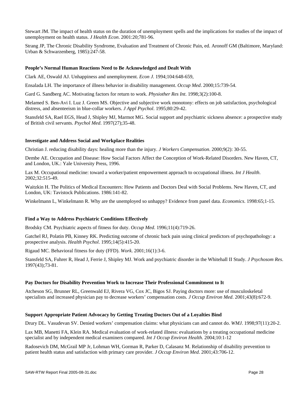Stewart JM. The impact of health status on the duration of unemployment spells and the implications for studies of the impact of unemployment on health status. *J Health Econ*. 2001:20;781-96.

Strang JP, The Chronic Disability Syndrome, Evaluation and Treatment of Chronic Pain, ed. Aronoff GM (Baltimore, Maryland: Urban & Schwarzenberg, 1985):247-58.

#### **People's Normal Human Reactions Need to Be Acknowledged and Dealt With**

Clark AE, Oswald AJ. Unhappiness and unemployment. *Econ J*. 1994;104:648-659,

Ensalada LH. The importance of illness behavior in disability management. *Occup Med*. 2000;15:739-54.

Gard G. Sandberg AC. Motivating factors for return to work. *Physiother Res Int*. 1998;3(2):100-8.

Melamed S. Ben-Avi I. Luz J. Green MS. Objective and subjective work monotony: effects on job satisfaction, psychological distress, and absenteeism in blue-collar workers. *J Appl Psychol*. 1995;80:29-42.

Stansfeld SA, Rael EGS, Head J, Shipley MJ, Marmot MG. Social support and psychiatric sickness absence: a prospective study of British civil servants. *Psychol Med*. 1997(27);35-48.

#### **Investigate and Address Social and Workplace Realities**

Christian J. reducing disability days: healing more than the injury. *J Workers Compensation*. 2000;9(2): 30-55.

Dembe AE. Occupation and Disease: How Social Factors Affect the Conception of Work-Related Disorders. New Haven, CT, and London, UK.: Yale University Press, 1996.

Lax M. Occupational medicine: toward a worker/patient empowerment approach to occupational illness. *Int J Health*. 2002;32:515-49.

Waitzkin H. The Politics of Medical Encounters: How Patients and Doctors Deal with Social Problems. New Haven, CT, and London, UK: Tavistock Publications. 1986:141-82.

Winkelmann L, Winkelmann R. Why are the unemployed so unhappy? Evidence from panel data. *Economics*. 1998:65;1-15.

# **Find a Way to Address Psychiatric Conditions Effectively**

Brodsky CM. Psychiatric aspects of fitness for duty. *Occup Med*. 1996;11(4):719-26.

Gatchel RJ, Polatin PB, Kinney RK. Predicting outcome of chronic back pain using clinical predictors of psychopathology: a prospective analysis. *Health Psychol*. 1995;14(5):415-20.

Rigaud MC. Behavioral fitness for duty (FFD). *Work*. 2001;16(1):3-6.

Stansfeld SA, Fuhrer R, Head J, Ferrie J, Shipley MJ. Work and psychiatric disorder in the Whitehall II Study. *J Psychosom Res*. 1997(43);73-81.

# **Pay Doctors for Disability Prevention Work to Increase Their Professional Commitment to It**

Atcheson SG, Brunner RL, Greenwald EJ, Rivera VG, Cox JC, Bigos SJ. Paying doctors more: use of musculoskeletal specialists and increased physician pay to decrease workers' compensation costs. *J Occup Environ Med*. 2001;43(8):672-9.

#### **Support Appropriate Patient Advocacy by Getting Treating Doctors Out of a Loyalties Bind**

Drury DL. Vasudevan SV. Denied workers' compensation claims: what physicians can and cannot do. *WMJ*. 1998;97(11):20-2.

Lax MB, Manetti FA, Klein RA. Medical evaluation of work-related illness: evaluations by a treating occupational medicine specialist and by independent medical examiners compared. *Int J Occup Environ Health*. 2004;10:1-12

Radosevich DM, McGrail MP Jr, Lohman WH, Gorman R, Parker D, Calasanz M. Relationship of disability prevention to patient health status and satisfaction with primary care provider. *J Occup Environ Med*. 2001;43:706-12.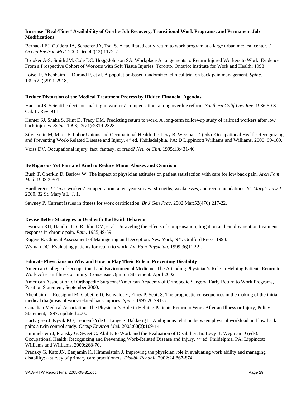#### **Increase "Real-Time" Availability of On-the-Job Recovery, Transitional Work Programs, and Permanent Job Modifications**

Bernacki EJ, Guidera JA, Schaefer JA, Tsai S. A facilitated early return to work program at a large urban medical center. *J Occup Environ Med*. 2000 Dec;42(12):1172-7.

Brooker A-S. Smith JM. Cole DC. Hogg-Johnson SA. Workplace Arrangements to Return Injured Workers to Work: Evidence From a Prospective Cohort of Workers with Soft Tissue Injuries. Toronto, Ontario: Institute for Work and Health; 1998

Loisel P, Abenhaim L, Durand P, et al. A population-based randomized clinical trial on back pain management. *Spine*. 1997(22);2911-2918,

#### **Reduce Distortion of the Medical Treatment Process by Hidden Financial Agendas**

Hansen JS. Scientific decision-making in workers' compensation: a long overdue reform. *Southern Calif Law Rev*. 1986;59 S. Cal. L. Rev. 911.

Hunter SJ, Shaha S, Flint D, Tracy DM. Predicting return to work. A long-term follow-up study of railroad workers after low back injuries. *Spine*. 1998;23(21):2319-2328.

Silverstein M, Mirer F. Labor Unions and Occupational Health. In: Levy B, Wegman D (eds). Occupational Health: Recognizing and Preventing Work-Related Disease and Injury. 4<sup>th</sup> ed. Ph8iladelphia, PA: D Lippincott Williams and Williams. 2000: 99-109.

Voiss DV. Occupational injury: fact, fantasy, or fraud? *Neurol Clin*. 1995:13;431-46.

#### **Be Rigorous Yet Fair and Kind to Reduce Minor Abuses and Cynicism**

Bush T, Cherkin D, Barlow W. The impact of physician attitudes on patient satisfaction with care for low back pain. *Arch Fam Med*. 1993;2:301.

Hardberger P. Texas workers' compensation: a ten-year survey: strengths, weaknesses, and recommendations. *St. Mary's Law J*. 2000. 32 St. Mary's L. J. 1.

Sawney P. Current issues in fitness for work certification. *Br J Gen Prac*. 2002 Mar;52(476):217-22.

# **Devise Better Strategies to Deal with Bad Faith Behavior**

Dworkin RH, Handlin DS, Richlin DM, et al. Unraveling the effects of compensation, litigation and employment on treatment response in chronic pain. *Pain*. 1985;49-59.

Rogers R. Clinical Assessment of Malingering and Deception. New York, NY: Guilford Press; 1998.

Wyman DO. Evaluating patients for return to work. *Am Fam Physician*. 1999;36(1):2-9.

# **Educate Physicians on Why and How to Play Their Role in Preventing Disability**

American College of Occupational and Environmental Medicine. The Attending Physician's Role in Helping Patients Return to Work After an Illness or Injury. Consensus Opinion Statement. April 2002.

American Association of Orthopedic Surgeons/American Academy of Orthopedic Surgery. Early Return to Work Programs, Position Statement, September 2000.

Abenhaim L, Rossignol M, Gobeille D, Bonvalot Y, Fines P, Scott S. The prognostic consequences in the making of the initial medical diagnosis of work-related back injuries. *Spine*. 1995;20:791-5.

Canadian Medical Association. The Physician's Role in Helping Patients Return to Work After an Illness or Injury, Policy Statement, 1997, updated 2000.

Hartvigsen J, Kyvik KO, Leboeuf-Yde C, Lings S, Bakketig L. Ambiguous relation between physical workload and low back pain: a twin control study. *Occup Environ Med*. 2003;60(2):109-14.

Himmelstein J, Pransky G, Sweet C. Ability to Work and the Evaluation of Disability. In: Levy B, Wegman D (eds). Occupational Health: Recognizing and Preventing Work-Related Disease and Injury. 4<sup>th</sup> ed. Phildelphia, PA: Lippincott Williams and Williams, 2000:268-70.

Pransky G, Katz JN, Benjamin K, Himmelstein J. Improving the physician role in evaluating work ability and managing disability: a survey of primary care practitioners. *Disabil Rehabil*. 2002;24:867-874.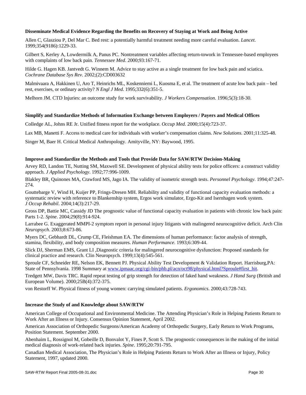#### **Disseminate Medical Evidence Regarding the Benefits on Recovery of Staying at Work and Being Active**

Allen C, Glasziou P, Del Mar C. Bed rest: a potentially harmful treatment needing more careful evaluation. *Lancet*. 1999;354(9186):1229-33.

Gilbert S, Kerley A, Lowdermilk A, Panus PC. Nontreatment variables affecting return-towork in Tennessee-based employees with complaints of low back pain. *Tennessee Med*. 2000;93:167-71.

Hilde G. Hagen KB. Jantvedt G. Winnem M. Advice to stay active as a single treatment for low back pain and sciatica. *Cochrane Database Sys Rev*. 2002;(2):CD003632

Malmivaara A, Hakkinen U, Aro T, Heinrichs ML, Koskenniemi L, Kuosma E, et al. The treatment of acute low back pain – bed rest, exercises, or ordinary activity? *N Engl J Med*. 1995;332(6):351-5.

Melhorn JM. CTD Injuries: an outcome study for work survivability. *J Workers Compensation*. 1996;5(3):18-30.

#### **Simplify and Standardize Methods of Information Exchange between Employers / Payers and Medical Offices**

Colledge AL, Johns RE Jr. Unified fitness report for the workplace. *Occup Med*. 2000;15(4):723-37.

Lax MB, Manetti F. Access to medical care for individuals with worker's compensation claims. *New Solutions*. 2001;11:325-48.

Singer M, Baer H. Critical Medical Anthropology. Amityville, NY: Baywood, 1995.

#### **Improve and Standardize the Methods and Tools that Provide Data for SAW/RTW Decision-Making**

Arvey RD, Landon TE, Nutting SM, Maxwell SE. Development of physical ability tests for police officers: a construct validity approach. *J Applied Psychology*. 1992;77:996-1009.

Blakley BR, Quinones MA, Crawford MS, Jago IA. The validity of isometric strength tests. *Personnel Psychology*. 1994;47:247- 274.

Gouttebarge V, Wind H, Kuijer PP, Frings-Dresen MH. Reliability and validity of functional capacity evaluation methods: a systematic review with reference to Blankenship system, Ergos work simulator, Ergo-Kit and Isernhagen work system. *J Occup Rehabil*. 2004;14(3):217-29.

Gross DP, Battie MC, Cassidy JD The prognostic value of functional capacity evaluation in patients with chronic low back pain: Parts 1-2. *Spine*. 2004;29(8):914-924.

Larrabee G. Exaggerated MMPI-2 symptom report in personal injury litigants with malingered neurocognitive deficit. Arch Clin *Neuropsych*. 2003;8:673-86.

Myers DC, Gebhardt DL, Crump CE, Fleishman EA. The dimensions of human performance: factor analysis of strength, stamina, flexibility, and body composition measures. *Human Performance*. 1993;6:309-44.

Slick DJ, Sherman EMS, Grant LI ,Diagnostic criteria for malingered neurocognitive dysfunction: Proposed standards for clinical practice and research. Clin Neuropsych. 1999;13(4):545-561.

Sproule CF, Schneider RE, Nelson EK, Bennett PJ. Physical Ability Test Development & Validation Report. Harrisburg,PA: State of Pennsylvania. 1998 Summary at www.ipmaac.org/cgi-bin/phb.pl/acn/oct98/physical.html?Sproule#first\_hit.

Tredgett MW, Davis TRC. Rapid repeat testing of grip strength for detection of faked hand weakness. *J Hand Surg* (British and European Volume). 2000;25B(4):372-375.

von Restorff W. Physical fitness of young women: carrying simulated patients. *Ergonomics*. 2000;43:728-743.

#### **Increase the Study of and Knowledge about SAW/RTW**

American College of Occupational and Environmental Medicine. The Attending Physician's Role in Helping Patients Return to Work After an Illness or Injury. Consensus Opinion Statement, April 2002.

American Association of Orthopedic Surgeons/American Academy of Orthopedic Surgery, Early Return to Work Programs, Position Statement. September 2000.

Abenhaim L, Rossignol M, Gobeille D, Bonvalot Y, Fines P, Scott S. The prognostic consequences in the making of the initial medical diagnosis of work-related back injuries. *Spine*. 1995;20:791-795.

Canadian Medical Association, The Physician's Role in Helping Patients Return to Work After an Illness or Injury, Policy Statement, 1997, updated 2000.